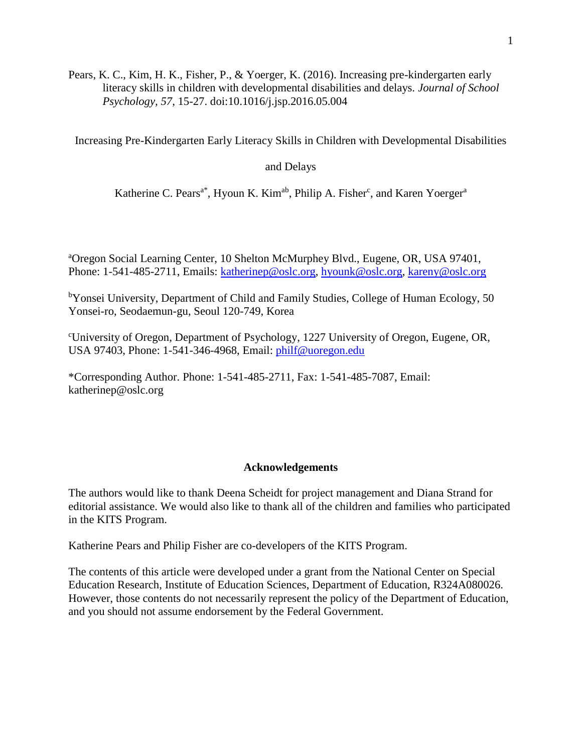Pears, K. C., Kim, H. K., Fisher, P., & Yoerger, K. (2016). Increasing pre-kindergarten early literacy skills in children with developmental disabilities and delays. *Journal of School Psychology, 57,* 15-27. doi:10.1016/j.jsp.2016.05.004

Increasing Pre-Kindergarten Early Literacy Skills in Children with Developmental Disabilities

# and Delays

Katherine C. Pears<sup>a\*</sup>, Hyoun K. Kim<sup>ab</sup>, Philip A. Fisher<sup>c</sup>, and Karen Yoerger<sup>a</sup>

<sup>a</sup>Oregon Social Learning Center, 10 Shelton McMurphey Blvd., Eugene, OR, USA 97401, Phone: 1-541-485-2711, Emails: [katherinep@oslc.org,](mailto:katherinep@oslc.org) [hyounk@oslc.org,](mailto:hyounk@oslc.org) [kareny@oslc.org](mailto:kareny@oslc.org)

bYonsei University, Department of Child and Family Studies, College of Human Ecology, 50 Yonsei-ro, Seodaemun-gu, Seoul 120-749, Korea

<sup>c</sup>University of Oregon, Department of Psychology, 1227 University of Oregon, Eugene, OR, USA 97403, Phone: 1-541-346-4968, Email: [philf@uoregon.edu](mailto:philf@uoregon.edu)

\*Corresponding Author. Phone: 1-541-485-2711, Fax: 1-541-485-7087, Email: katherinep@oslc.org

# **Acknowledgements**

The authors would like to thank Deena Scheidt for project management and Diana Strand for editorial assistance. We would also like to thank all of the children and families who participated in the KITS Program.

Katherine Pears and Philip Fisher are co-developers of the KITS Program.

The contents of this article were developed under a grant from the National Center on Special Education Research, Institute of Education Sciences, Department of Education, R324A080026. However, those contents do not necessarily represent the policy of the Department of Education, and you should not assume endorsement by the Federal Government.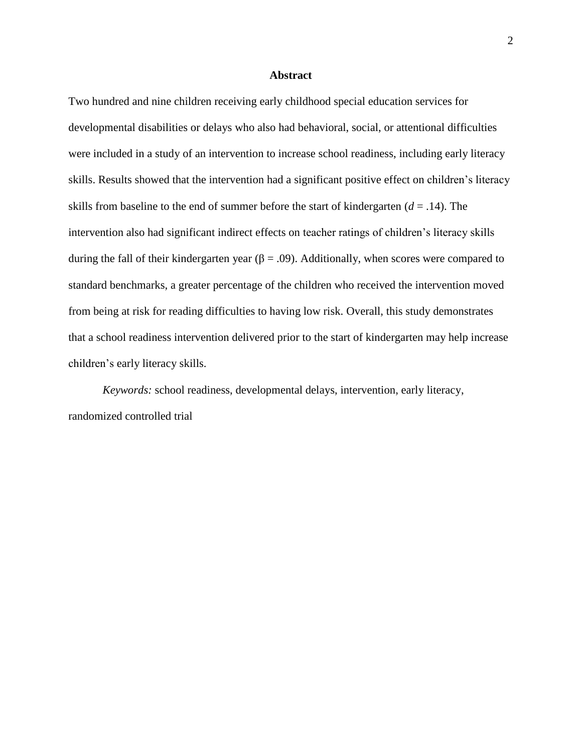#### **Abstract**

Two hundred and nine children receiving early childhood special education services for developmental disabilities or delays who also had behavioral, social, or attentional difficulties were included in a study of an intervention to increase school readiness, including early literacy skills. Results showed that the intervention had a significant positive effect on children's literacy skills from baseline to the end of summer before the start of kindergarten (*d* = .14). The intervention also had significant indirect effects on teacher ratings of children's literacy skills during the fall of their kindergarten year ( $\beta = .09$ ). Additionally, when scores were compared to standard benchmarks, a greater percentage of the children who received the intervention moved from being at risk for reading difficulties to having low risk. Overall, this study demonstrates that a school readiness intervention delivered prior to the start of kindergarten may help increase children's early literacy skills.

*Keywords:* school readiness, developmental delays, intervention, early literacy, randomized controlled trial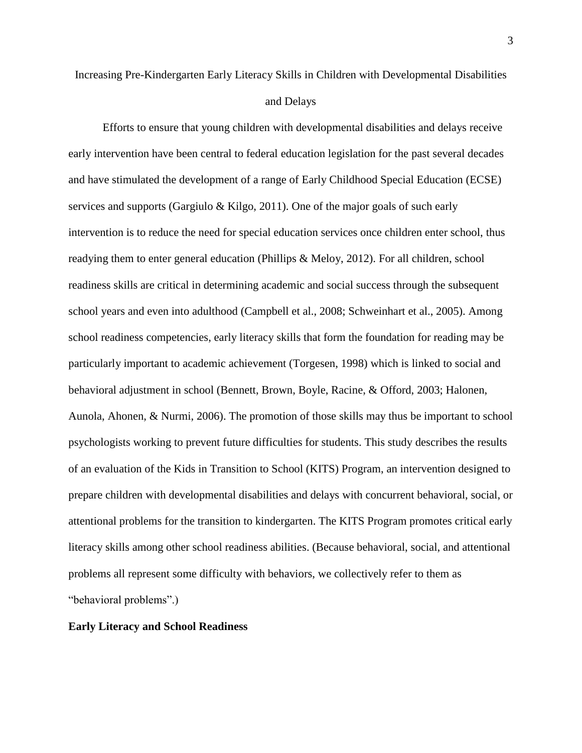# Increasing Pre-Kindergarten Early Literacy Skills in Children with Developmental Disabilities and Delays

Efforts to ensure that young children with developmental disabilities and delays receive early intervention have been central to federal education legislation for the past several decades and have stimulated the development of a range of Early Childhood Special Education (ECSE) services and supports (Gargiulo & Kilgo, 2011). One of the major goals of such early intervention is to reduce the need for special education services once children enter school, thus readying them to enter general education (Phillips & Meloy, 2012). For all children, school readiness skills are critical in determining academic and social success through the subsequent school years and even into adulthood (Campbell et al., 2008; Schweinhart et al., 2005). Among school readiness competencies, early literacy skills that form the foundation for reading may be particularly important to academic achievement (Torgesen, 1998) which is linked to social and behavioral adjustment in school (Bennett, Brown, Boyle, Racine, & Offord, 2003; Halonen, Aunola, Ahonen, & Nurmi, 2006). The promotion of those skills may thus be important to school psychologists working to prevent future difficulties for students. This study describes the results of an evaluation of the Kids in Transition to School (KITS) Program, an intervention designed to prepare children with developmental disabilities and delays with concurrent behavioral, social, or attentional problems for the transition to kindergarten. The KITS Program promotes critical early literacy skills among other school readiness abilities. (Because behavioral, social, and attentional problems all represent some difficulty with behaviors, we collectively refer to them as "behavioral problems".)

# **Early Literacy and School Readiness**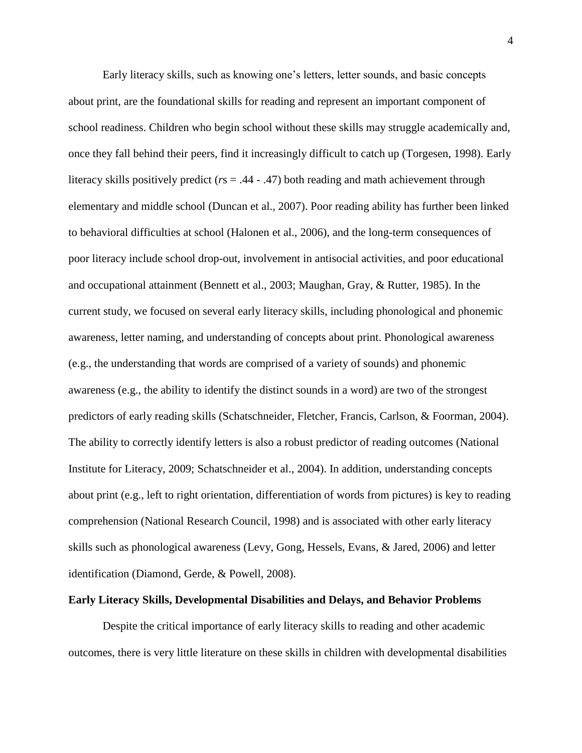Early literacy skills, such as knowing one's letters, letter sounds, and basic concepts about print, are the foundational skills for reading and represent an important component of school readiness. Children who begin school without these skills may struggle academically and, once they fall behind their peers, find it increasingly difficult to catch up (Torgesen, 1998). Early literacy skills positively predict (*r*s = .44 - .47) both reading and math achievement through elementary and middle school (Duncan et al., 2007). Poor reading ability has further been linked to behavioral difficulties at school (Halonen et al., 2006), and the long-term consequences of poor literacy include school drop-out, involvement in antisocial activities, and poor educational and occupational attainment (Bennett et al., 2003; Maughan, Gray, & Rutter, 1985). In the current study, we focused on several early literacy skills, including phonological and phonemic awareness, letter naming, and understanding of concepts about print. Phonological awareness (e.g., the understanding that words are comprised of a variety of sounds) and phonemic awareness (e.g., the ability to identify the distinct sounds in a word) are two of the strongest predictors of early reading skills (Schatschneider, Fletcher, Francis, Carlson, & Foorman, 2004). The ability to correctly identify letters is also a robust predictor of reading outcomes (National Institute for Literacy, 2009; Schatschneider et al., 2004). In addition, understanding concepts about print (e.g., left to right orientation, differentiation of words from pictures) is key to reading comprehension (National Research Council, 1998) and is associated with other early literacy skills such as phonological awareness (Levy, Gong, Hessels, Evans, & Jared, 2006) and letter identification (Diamond, Gerde, & Powell, 2008).

#### **Early Literacy Skills, Developmental Disabilities and Delays, and Behavior Problems**

Despite the critical importance of early literacy skills to reading and other academic outcomes, there is very little literature on these skills in children with developmental disabilities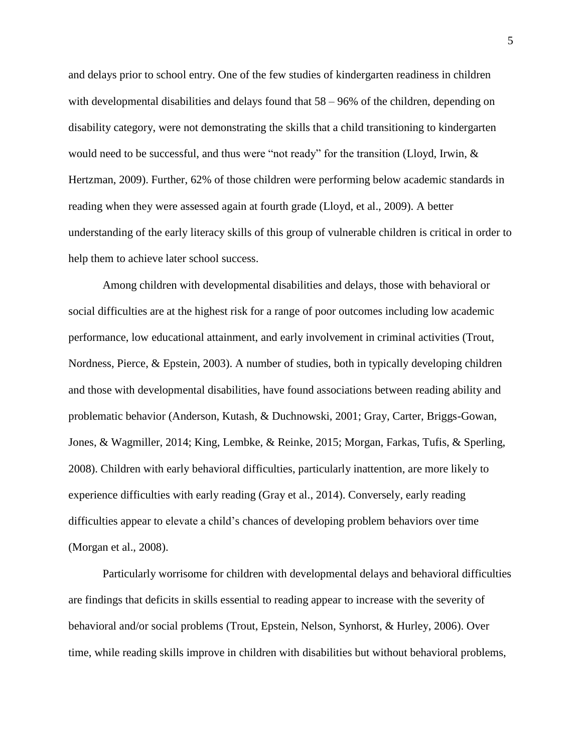and delays prior to school entry. One of the few studies of kindergarten readiness in children with developmental disabilities and delays found that  $58 - 96\%$  of the children, depending on disability category, were not demonstrating the skills that a child transitioning to kindergarten would need to be successful, and thus were "not ready" for the transition (Lloyd, Irwin, & Hertzman, 2009). Further, 62% of those children were performing below academic standards in reading when they were assessed again at fourth grade (Lloyd, et al., 2009). A better understanding of the early literacy skills of this group of vulnerable children is critical in order to help them to achieve later school success.

Among children with developmental disabilities and delays, those with behavioral or social difficulties are at the highest risk for a range of poor outcomes including low academic performance, low educational attainment, and early involvement in criminal activities (Trout, Nordness, Pierce, & Epstein, 2003). A number of studies, both in typically developing children and those with developmental disabilities, have found associations between reading ability and problematic behavior (Anderson, Kutash, & Duchnowski, 2001; Gray, Carter, Briggs-Gowan, Jones, & Wagmiller, 2014; King, Lembke, & Reinke, 2015; Morgan, Farkas, Tufis, & Sperling, 2008). Children with early behavioral difficulties, particularly inattention, are more likely to experience difficulties with early reading (Gray et al., 2014). Conversely, early reading difficulties appear to elevate a child's chances of developing problem behaviors over time (Morgan et al., 2008).

Particularly worrisome for children with developmental delays and behavioral difficulties are findings that deficits in skills essential to reading appear to increase with the severity of behavioral and/or social problems (Trout, Epstein, Nelson, Synhorst, & Hurley, 2006). Over time, while reading skills improve in children with disabilities but without behavioral problems,

5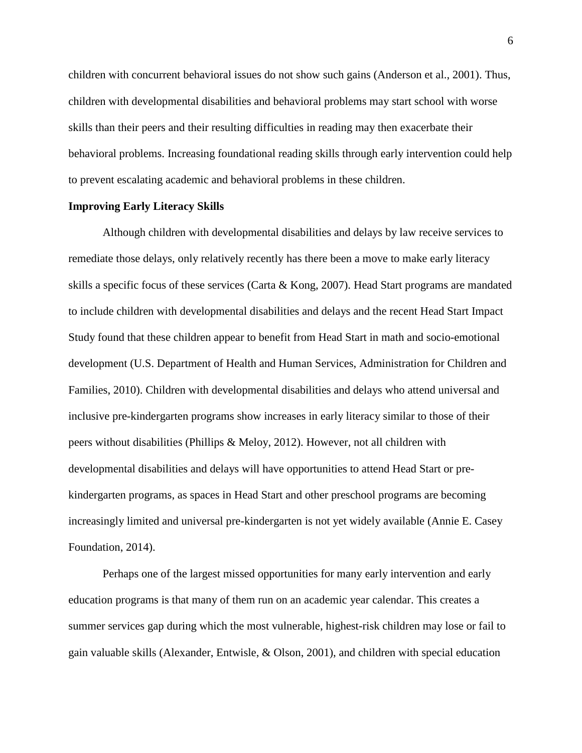children with concurrent behavioral issues do not show such gains (Anderson et al., 2001). Thus, children with developmental disabilities and behavioral problems may start school with worse skills than their peers and their resulting difficulties in reading may then exacerbate their behavioral problems. Increasing foundational reading skills through early intervention could help to prevent escalating academic and behavioral problems in these children.

#### **Improving Early Literacy Skills**

Although children with developmental disabilities and delays by law receive services to remediate those delays, only relatively recently has there been a move to make early literacy skills a specific focus of these services (Carta & Kong, 2007). Head Start programs are mandated to include children with developmental disabilities and delays and the recent Head Start Impact Study found that these children appear to benefit from Head Start in math and socio-emotional development (U.S. Department of Health and Human Services, Administration for Children and Families, 2010). Children with developmental disabilities and delays who attend universal and inclusive pre-kindergarten programs show increases in early literacy similar to those of their peers without disabilities (Phillips & Meloy, 2012). However, not all children with developmental disabilities and delays will have opportunities to attend Head Start or prekindergarten programs, as spaces in Head Start and other preschool programs are becoming increasingly limited and universal pre-kindergarten is not yet widely available (Annie E. Casey Foundation, 2014).

Perhaps one of the largest missed opportunities for many early intervention and early education programs is that many of them run on an academic year calendar. This creates a summer services gap during which the most vulnerable, highest-risk children may lose or fail to gain valuable skills (Alexander, Entwisle, & Olson, 2001), and children with special education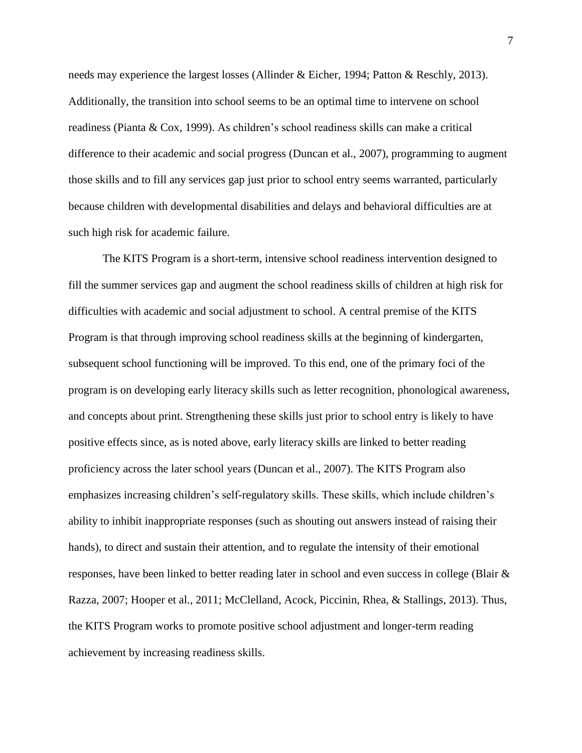needs may experience the largest losses (Allinder & Eicher, 1994; Patton & Reschly, 2013). Additionally, the transition into school seems to be an optimal time to intervene on school readiness (Pianta & Cox, 1999). As children's school readiness skills can make a critical difference to their academic and social progress (Duncan et al., 2007), programming to augment those skills and to fill any services gap just prior to school entry seems warranted, particularly because children with developmental disabilities and delays and behavioral difficulties are at such high risk for academic failure.

The KITS Program is a short-term, intensive school readiness intervention designed to fill the summer services gap and augment the school readiness skills of children at high risk for difficulties with academic and social adjustment to school. A central premise of the KITS Program is that through improving school readiness skills at the beginning of kindergarten, subsequent school functioning will be improved. To this end, one of the primary foci of the program is on developing early literacy skills such as letter recognition, phonological awareness, and concepts about print. Strengthening these skills just prior to school entry is likely to have positive effects since, as is noted above, early literacy skills are linked to better reading proficiency across the later school years (Duncan et al., 2007). The KITS Program also emphasizes increasing children's self-regulatory skills. These skills, which include children's ability to inhibit inappropriate responses (such as shouting out answers instead of raising their hands), to direct and sustain their attention, and to regulate the intensity of their emotional responses, have been linked to better reading later in school and even success in college (Blair & Razza, 2007; Hooper et al., 2011; McClelland, Acock, Piccinin, Rhea, & Stallings, 2013). Thus, the KITS Program works to promote positive school adjustment and longer-term reading achievement by increasing readiness skills.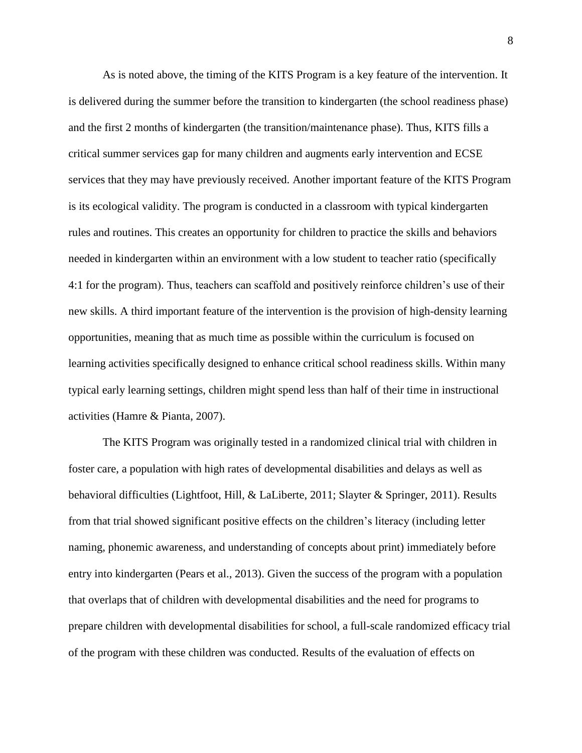As is noted above, the timing of the KITS Program is a key feature of the intervention. It is delivered during the summer before the transition to kindergarten (the school readiness phase) and the first 2 months of kindergarten (the transition/maintenance phase). Thus, KITS fills a critical summer services gap for many children and augments early intervention and ECSE services that they may have previously received. Another important feature of the KITS Program is its ecological validity. The program is conducted in a classroom with typical kindergarten rules and routines. This creates an opportunity for children to practice the skills and behaviors needed in kindergarten within an environment with a low student to teacher ratio (specifically 4:1 for the program). Thus, teachers can scaffold and positively reinforce children's use of their new skills. A third important feature of the intervention is the provision of high-density learning opportunities, meaning that as much time as possible within the curriculum is focused on learning activities specifically designed to enhance critical school readiness skills. Within many typical early learning settings, children might spend less than half of their time in instructional activities (Hamre & Pianta, 2007).

The KITS Program was originally tested in a randomized clinical trial with children in foster care, a population with high rates of developmental disabilities and delays as well as behavioral difficulties (Lightfoot, Hill, & LaLiberte, 2011; Slayter & Springer, 2011). Results from that trial showed significant positive effects on the children's literacy (including letter naming, phonemic awareness, and understanding of concepts about print) immediately before entry into kindergarten (Pears et al., 2013). Given the success of the program with a population that overlaps that of children with developmental disabilities and the need for programs to prepare children with developmental disabilities for school, a full-scale randomized efficacy trial of the program with these children was conducted. Results of the evaluation of effects on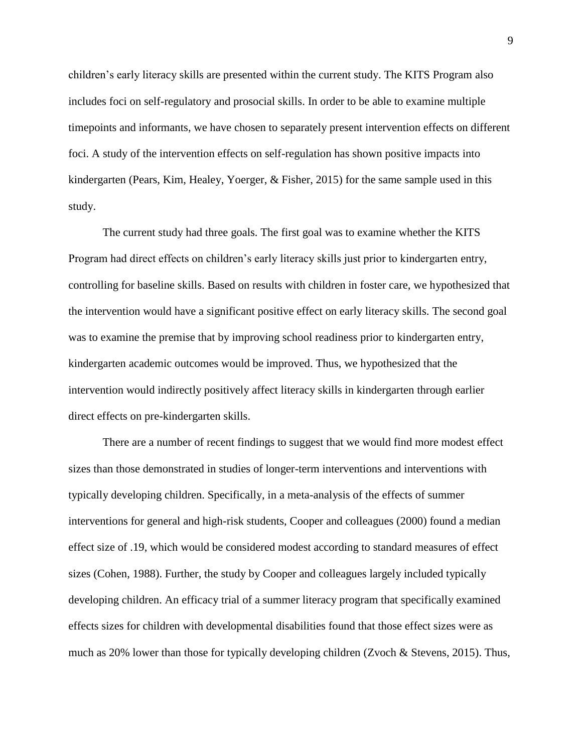children's early literacy skills are presented within the current study. The KITS Program also includes foci on self-regulatory and prosocial skills. In order to be able to examine multiple timepoints and informants, we have chosen to separately present intervention effects on different foci. A study of the intervention effects on self-regulation has shown positive impacts into kindergarten (Pears, Kim, Healey, Yoerger, & Fisher, 2015) for the same sample used in this study.

The current study had three goals. The first goal was to examine whether the KITS Program had direct effects on children's early literacy skills just prior to kindergarten entry, controlling for baseline skills. Based on results with children in foster care, we hypothesized that the intervention would have a significant positive effect on early literacy skills. The second goal was to examine the premise that by improving school readiness prior to kindergarten entry, kindergarten academic outcomes would be improved. Thus, we hypothesized that the intervention would indirectly positively affect literacy skills in kindergarten through earlier direct effects on pre-kindergarten skills.

There are a number of recent findings to suggest that we would find more modest effect sizes than those demonstrated in studies of longer-term interventions and interventions with typically developing children. Specifically, in a meta-analysis of the effects of summer interventions for general and high-risk students, Cooper and colleagues (2000) found a median effect size of .19, which would be considered modest according to standard measures of effect sizes (Cohen, 1988). Further, the study by Cooper and colleagues largely included typically developing children. An efficacy trial of a summer literacy program that specifically examined effects sizes for children with developmental disabilities found that those effect sizes were as much as 20% lower than those for typically developing children (Zvoch & Stevens, 2015). Thus,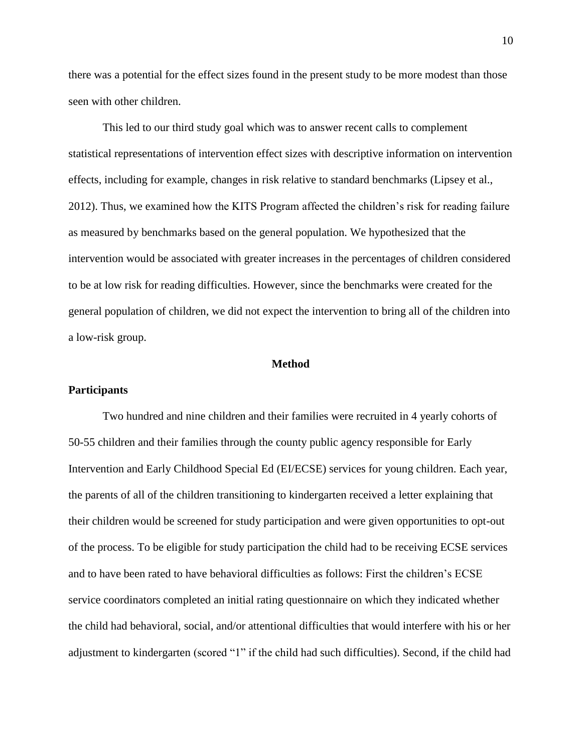there was a potential for the effect sizes found in the present study to be more modest than those seen with other children.

This led to our third study goal which was to answer recent calls to complement statistical representations of intervention effect sizes with descriptive information on intervention effects, including for example, changes in risk relative to standard benchmarks (Lipsey et al., 2012). Thus, we examined how the KITS Program affected the children's risk for reading failure as measured by benchmarks based on the general population. We hypothesized that the intervention would be associated with greater increases in the percentages of children considered to be at low risk for reading difficulties. However, since the benchmarks were created for the general population of children, we did not expect the intervention to bring all of the children into a low-risk group.

#### **Method**

#### **Participants**

Two hundred and nine children and their families were recruited in 4 yearly cohorts of 50-55 children and their families through the county public agency responsible for Early Intervention and Early Childhood Special Ed (EI/ECSE) services for young children. Each year, the parents of all of the children transitioning to kindergarten received a letter explaining that their children would be screened for study participation and were given opportunities to opt-out of the process. To be eligible for study participation the child had to be receiving ECSE services and to have been rated to have behavioral difficulties as follows: First the children's ECSE service coordinators completed an initial rating questionnaire on which they indicated whether the child had behavioral, social, and/or attentional difficulties that would interfere with his or her adjustment to kindergarten (scored "1" if the child had such difficulties). Second, if the child had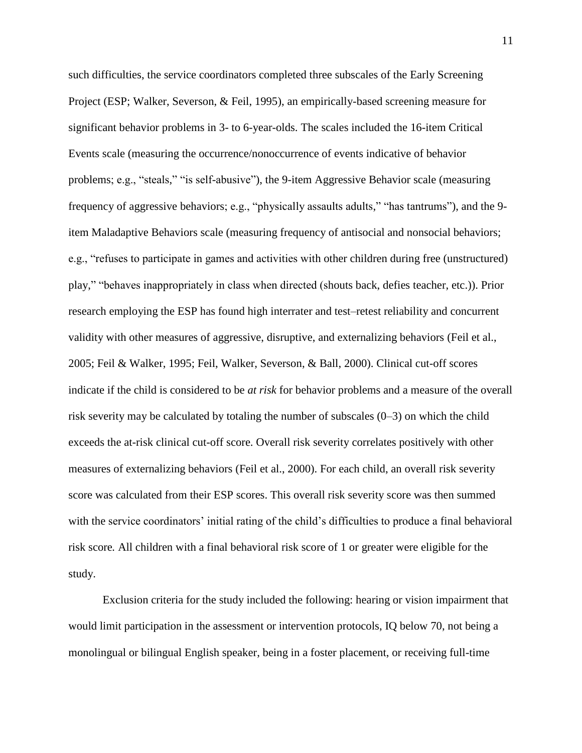such difficulties, the service coordinators completed three subscales of the Early Screening Project (ESP; Walker, Severson, & Feil, 1995), an empirically-based screening measure for significant behavior problems in 3- to 6-year-olds. The scales included the 16-item Critical Events scale (measuring the occurrence/nonoccurrence of events indicative of behavior problems; e.g., "steals," "is self-abusive"), the 9-item Aggressive Behavior scale (measuring frequency of aggressive behaviors; e.g., "physically assaults adults," "has tantrums"), and the 9 item Maladaptive Behaviors scale (measuring frequency of antisocial and nonsocial behaviors; e.g., "refuses to participate in games and activities with other children during free (unstructured) play," "behaves inappropriately in class when directed (shouts back, defies teacher, etc.)). Prior research employing the ESP has found high interrater and test–retest reliability and concurrent validity with other measures of aggressive, disruptive, and externalizing behaviors (Feil et al., 2005; Feil & Walker, 1995; Feil, Walker, Severson, & Ball, 2000). Clinical cut-off scores indicate if the child is considered to be *at risk* for behavior problems and a measure of the overall risk severity may be calculated by totaling the number of subscales (0–3) on which the child exceeds the at-risk clinical cut-off score. Overall risk severity correlates positively with other measures of externalizing behaviors (Feil et al., 2000). For each child, an overall risk severity score was calculated from their ESP scores. This overall risk severity score was then summed with the service coordinators' initial rating of the child's difficulties to produce a final behavioral risk score*.* All children with a final behavioral risk score of 1 or greater were eligible for the study.

Exclusion criteria for the study included the following: hearing or vision impairment that would limit participation in the assessment or intervention protocols, IQ below 70, not being a monolingual or bilingual English speaker, being in a foster placement, or receiving full-time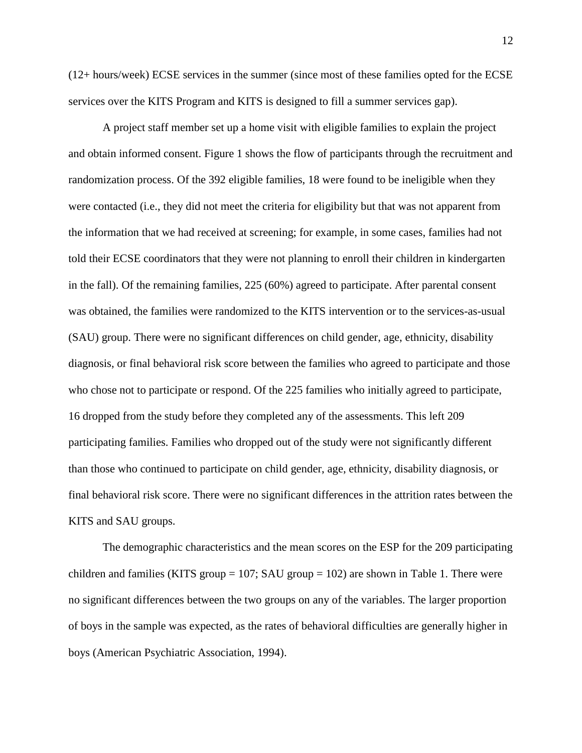(12+ hours/week) ECSE services in the summer (since most of these families opted for the ECSE services over the KITS Program and KITS is designed to fill a summer services gap).

A project staff member set up a home visit with eligible families to explain the project and obtain informed consent. Figure 1 shows the flow of participants through the recruitment and randomization process. Of the 392 eligible families, 18 were found to be ineligible when they were contacted (i.e., they did not meet the criteria for eligibility but that was not apparent from the information that we had received at screening; for example, in some cases, families had not told their ECSE coordinators that they were not planning to enroll their children in kindergarten in the fall). Of the remaining families, 225 (60%) agreed to participate. After parental consent was obtained, the families were randomized to the KITS intervention or to the services-as-usual (SAU) group. There were no significant differences on child gender, age, ethnicity, disability diagnosis, or final behavioral risk score between the families who agreed to participate and those who chose not to participate or respond. Of the 225 families who initially agreed to participate, 16 dropped from the study before they completed any of the assessments. This left 209 participating families. Families who dropped out of the study were not significantly different than those who continued to participate on child gender, age, ethnicity, disability diagnosis, or final behavioral risk score. There were no significant differences in the attrition rates between the KITS and SAU groups.

The demographic characteristics and the mean scores on the ESP for the 209 participating children and families (KITS group  $= 107$ ; SAU group  $= 102$ ) are shown in Table 1. There were no significant differences between the two groups on any of the variables. The larger proportion of boys in the sample was expected, as the rates of behavioral difficulties are generally higher in boys (American Psychiatric Association, 1994).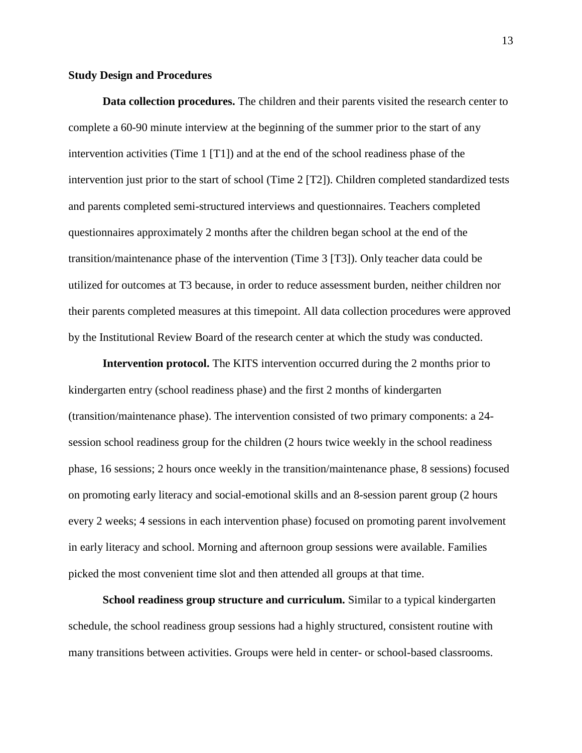## **Study Design and Procedures**

**Data collection procedures.** The children and their parents visited the research center to complete a 60-90 minute interview at the beginning of the summer prior to the start of any intervention activities (Time 1 [T1]) and at the end of the school readiness phase of the intervention just prior to the start of school (Time 2 [T2]). Children completed standardized tests and parents completed semi-structured interviews and questionnaires. Teachers completed questionnaires approximately 2 months after the children began school at the end of the transition/maintenance phase of the intervention (Time 3 [T3]). Only teacher data could be utilized for outcomes at T3 because, in order to reduce assessment burden, neither children nor their parents completed measures at this timepoint. All data collection procedures were approved by the Institutional Review Board of the research center at which the study was conducted.

**Intervention protocol.** The KITS intervention occurred during the 2 months prior to kindergarten entry (school readiness phase) and the first 2 months of kindergarten (transition/maintenance phase). The intervention consisted of two primary components: a 24 session school readiness group for the children (2 hours twice weekly in the school readiness phase, 16 sessions; 2 hours once weekly in the transition/maintenance phase, 8 sessions) focused on promoting early literacy and social-emotional skills and an 8-session parent group (2 hours every 2 weeks; 4 sessions in each intervention phase) focused on promoting parent involvement in early literacy and school. Morning and afternoon group sessions were available. Families picked the most convenient time slot and then attended all groups at that time.

**School readiness group structure and curriculum.** Similar to a typical kindergarten schedule, the school readiness group sessions had a highly structured, consistent routine with many transitions between activities. Groups were held in center- or school-based classrooms.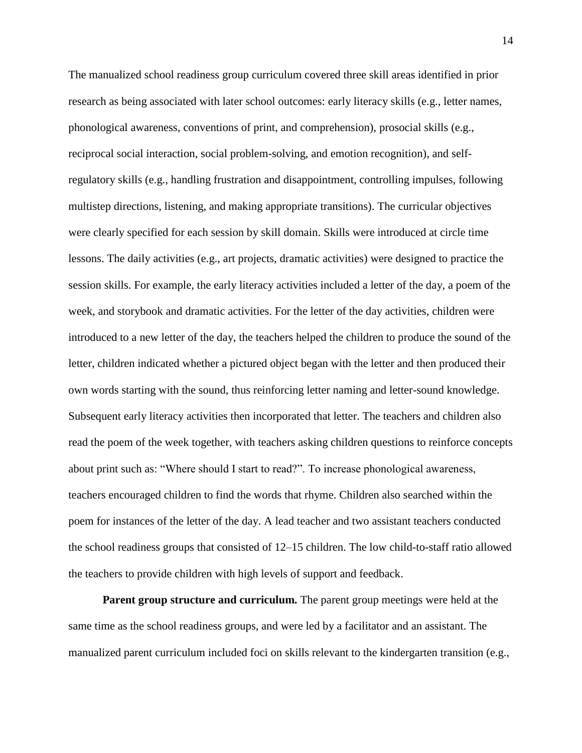The manualized school readiness group curriculum covered three skill areas identified in prior research as being associated with later school outcomes: early literacy skills (e.g., letter names, phonological awareness, conventions of print, and comprehension), prosocial skills (e.g., reciprocal social interaction, social problem-solving, and emotion recognition), and selfregulatory skills (e.g., handling frustration and disappointment, controlling impulses, following multistep directions, listening, and making appropriate transitions). The curricular objectives were clearly specified for each session by skill domain. Skills were introduced at circle time lessons. The daily activities (e.g., art projects, dramatic activities) were designed to practice the session skills. For example, the early literacy activities included a letter of the day, a poem of the week, and storybook and dramatic activities. For the letter of the day activities, children were introduced to a new letter of the day, the teachers helped the children to produce the sound of the letter, children indicated whether a pictured object began with the letter and then produced their own words starting with the sound, thus reinforcing letter naming and letter-sound knowledge. Subsequent early literacy activities then incorporated that letter. The teachers and children also read the poem of the week together, with teachers asking children questions to reinforce concepts about print such as: "Where should I start to read?". To increase phonological awareness, teachers encouraged children to find the words that rhyme. Children also searched within the poem for instances of the letter of the day. A lead teacher and two assistant teachers conducted the school readiness groups that consisted of 12–15 children. The low child-to-staff ratio allowed the teachers to provide children with high levels of support and feedback.

**Parent group structure and curriculum.** The parent group meetings were held at the same time as the school readiness groups, and were led by a facilitator and an assistant. The manualized parent curriculum included foci on skills relevant to the kindergarten transition (e.g.,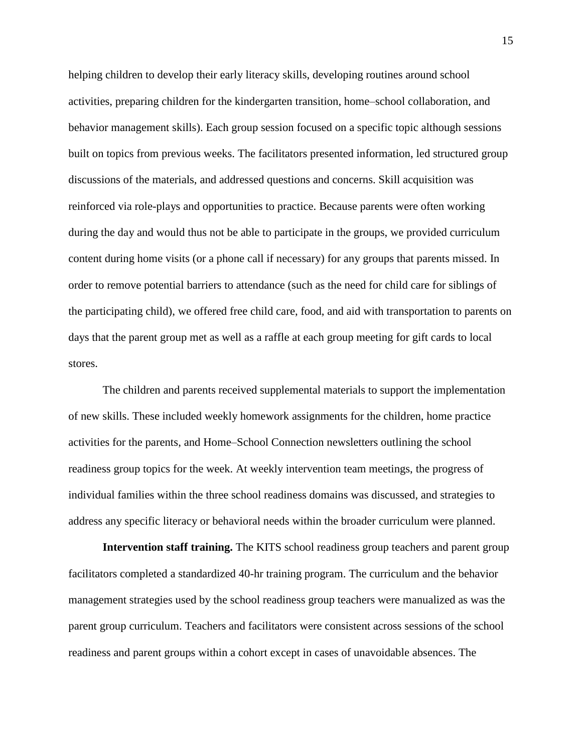helping children to develop their early literacy skills, developing routines around school activities, preparing children for the kindergarten transition, home–school collaboration, and behavior management skills). Each group session focused on a specific topic although sessions built on topics from previous weeks. The facilitators presented information, led structured group discussions of the materials, and addressed questions and concerns. Skill acquisition was reinforced via role-plays and opportunities to practice. Because parents were often working during the day and would thus not be able to participate in the groups, we provided curriculum content during home visits (or a phone call if necessary) for any groups that parents missed. In order to remove potential barriers to attendance (such as the need for child care for siblings of the participating child), we offered free child care, food, and aid with transportation to parents on days that the parent group met as well as a raffle at each group meeting for gift cards to local stores.

The children and parents received supplemental materials to support the implementation of new skills. These included weekly homework assignments for the children, home practice activities for the parents, and Home–School Connection newsletters outlining the school readiness group topics for the week. At weekly intervention team meetings, the progress of individual families within the three school readiness domains was discussed, and strategies to address any specific literacy or behavioral needs within the broader curriculum were planned.

**Intervention staff training.** The KITS school readiness group teachers and parent group facilitators completed a standardized 40-hr training program. The curriculum and the behavior management strategies used by the school readiness group teachers were manualized as was the parent group curriculum. Teachers and facilitators were consistent across sessions of the school readiness and parent groups within a cohort except in cases of unavoidable absences. The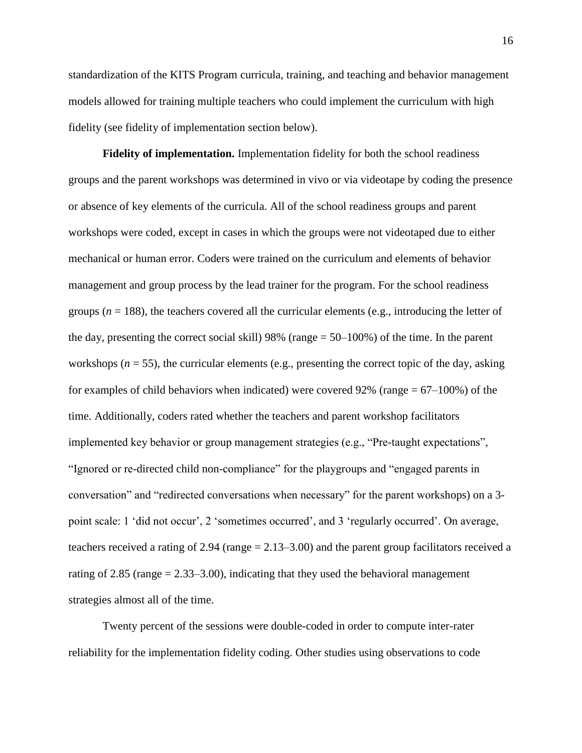standardization of the KITS Program curricula, training, and teaching and behavior management models allowed for training multiple teachers who could implement the curriculum with high fidelity (see fidelity of implementation section below).

**Fidelity of implementation.** Implementation fidelity for both the school readiness groups and the parent workshops was determined in vivo or via videotape by coding the presence or absence of key elements of the curricula. All of the school readiness groups and parent workshops were coded, except in cases in which the groups were not videotaped due to either mechanical or human error. Coders were trained on the curriculum and elements of behavior management and group process by the lead trainer for the program. For the school readiness groups ( $n = 188$ ), the teachers covered all the curricular elements (e.g., introducing the letter of the day, presenting the correct social skill) 98% (range  $= 50-100\%$ ) of the time. In the parent workshops  $(n = 55)$ , the curricular elements (e.g., presenting the correct topic of the day, asking for examples of child behaviors when indicated) were covered 92% (range  $= 67-100\%$ ) of the time. Additionally, coders rated whether the teachers and parent workshop facilitators implemented key behavior or group management strategies (e.g., "Pre-taught expectations", "Ignored or re-directed child non-compliance" for the playgroups and "engaged parents in conversation" and "redirected conversations when necessary" for the parent workshops) on a 3 point scale: 1 'did not occur', 2 'sometimes occurred', and 3 'regularly occurred'. On average, teachers received a rating of 2.94 (range = 2.13–3.00) and the parent group facilitators received a rating of 2.85 (range  $= 2.33 - 3.00$ ), indicating that they used the behavioral management strategies almost all of the time.

Twenty percent of the sessions were double-coded in order to compute inter-rater reliability for the implementation fidelity coding. Other studies using observations to code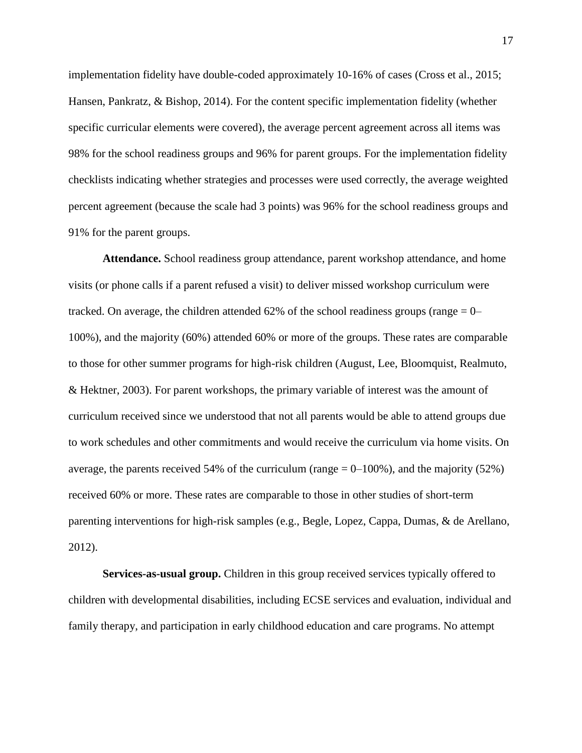implementation fidelity have double-coded approximately 10-16% of cases (Cross et al., 2015; Hansen, Pankratz, & Bishop, 2014). For the content specific implementation fidelity (whether specific curricular elements were covered), the average percent agreement across all items was 98% for the school readiness groups and 96% for parent groups. For the implementation fidelity checklists indicating whether strategies and processes were used correctly, the average weighted percent agreement (because the scale had 3 points) was 96% for the school readiness groups and 91% for the parent groups.

**Attendance.** School readiness group attendance, parent workshop attendance, and home visits (or phone calls if a parent refused a visit) to deliver missed workshop curriculum were tracked. On average, the children attended 62% of the school readiness groups (range  $= 0-$ 100%), and the majority (60%) attended 60% or more of the groups. These rates are comparable to those for other summer programs for high-risk children (August, Lee, Bloomquist, Realmuto, & Hektner, 2003). For parent workshops, the primary variable of interest was the amount of curriculum received since we understood that not all parents would be able to attend groups due to work schedules and other commitments and would receive the curriculum via home visits. On average, the parents received 54% of the curriculum (range  $= 0-100\%$ ), and the majority (52%) received 60% or more. These rates are comparable to those in other studies of short-term parenting interventions for high-risk samples (e.g., Begle, Lopez, Cappa, Dumas, & de Arellano, 2012).

**Services-as-usual group.** Children in this group received services typically offered to children with developmental disabilities, including ECSE services and evaluation, individual and family therapy, and participation in early childhood education and care programs. No attempt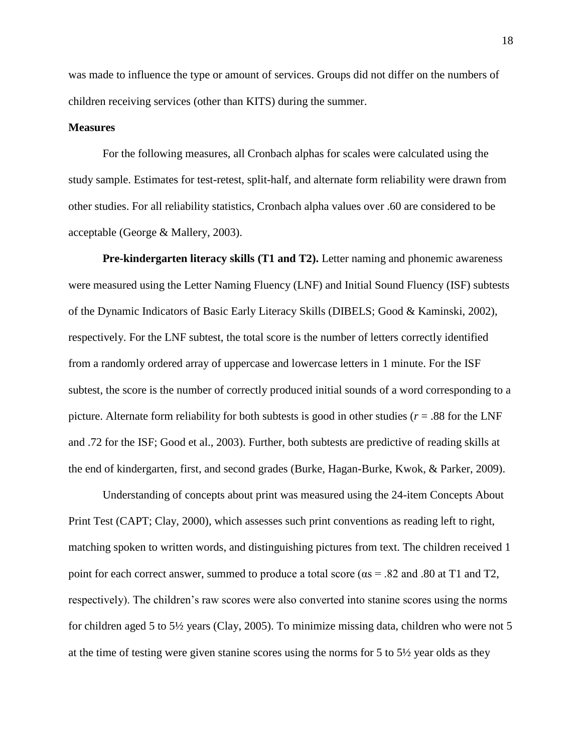was made to influence the type or amount of services. Groups did not differ on the numbers of children receiving services (other than KITS) during the summer.

#### **Measures**

For the following measures, all Cronbach alphas for scales were calculated using the study sample. Estimates for test-retest, split-half, and alternate form reliability were drawn from other studies. For all reliability statistics, Cronbach alpha values over .60 are considered to be acceptable (George & Mallery, 2003).

**Pre-kindergarten literacy skills (T1 and T2).** Letter naming and phonemic awareness were measured using the Letter Naming Fluency (LNF) and Initial Sound Fluency (ISF) subtests of the Dynamic Indicators of Basic Early Literacy Skills (DIBELS; Good & Kaminski, 2002), respectively. For the LNF subtest, the total score is the number of letters correctly identified from a randomly ordered array of uppercase and lowercase letters in 1 minute. For the ISF subtest, the score is the number of correctly produced initial sounds of a word corresponding to a picture. Alternate form reliability for both subtests is good in other studies (*r* = .88 for the LNF and .72 for the ISF; Good et al., 2003). Further, both subtests are predictive of reading skills at the end of kindergarten, first, and second grades (Burke, Hagan-Burke, Kwok, & Parker, 2009).

Understanding of concepts about print was measured using the 24-item Concepts About Print Test (CAPT; Clay, 2000), which assesses such print conventions as reading left to right, matching spoken to written words, and distinguishing pictures from text. The children received 1 point for each correct answer, summed to produce a total score ( $\alpha$ s = .82 and .80 at T1 and T2, respectively). The children's raw scores were also converted into stanine scores using the norms for children aged 5 to 5½ years (Clay, 2005). To minimize missing data, children who were not 5 at the time of testing were given stanine scores using the norms for 5 to 5½ year olds as they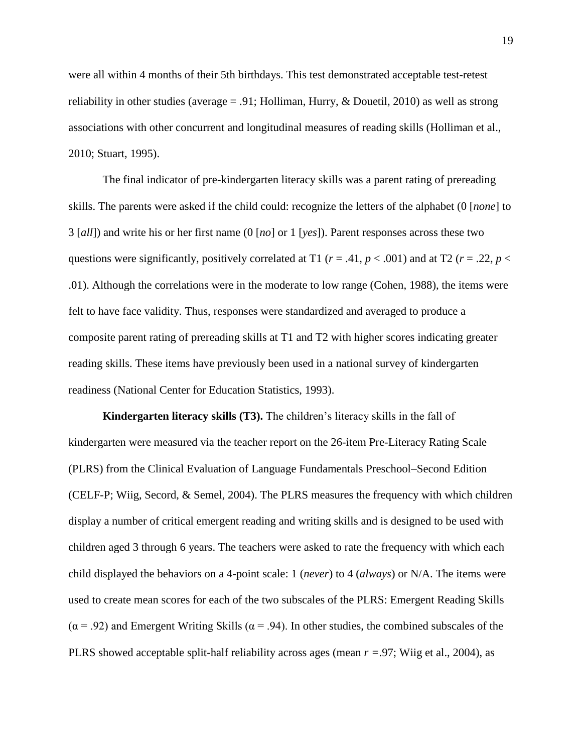were all within 4 months of their 5th birthdays. This test demonstrated acceptable test-retest reliability in other studies (average  $= .91$ ; Holliman, Hurry, & Douetil, 2010) as well as strong associations with other concurrent and longitudinal measures of reading skills (Holliman et al., 2010; Stuart, 1995).

The final indicator of pre-kindergarten literacy skills was a parent rating of prereading skills. The parents were asked if the child could: recognize the letters of the alphabet (0 [*none*] to 3 [*all*]) and write his or her first name (0 [*no*] or 1 [*yes*]). Parent responses across these two questions were significantly, positively correlated at T1 ( $r = .41$ ,  $p < .001$ ) and at T2 ( $r = .22$ ,  $p <$ .01). Although the correlations were in the moderate to low range (Cohen, 1988), the items were felt to have face validity. Thus, responses were standardized and averaged to produce a composite parent rating of prereading skills at T1 and T2 with higher scores indicating greater reading skills. These items have previously been used in a national survey of kindergarten readiness (National Center for Education Statistics, 1993).

**Kindergarten literacy skills (T3).** The children's literacy skills in the fall of kindergarten were measured via the teacher report on the 26-item Pre-Literacy Rating Scale (PLRS) from the Clinical Evaluation of Language Fundamentals Preschool–Second Edition (CELF-P; Wiig, Secord, & Semel, 2004). The PLRS measures the frequency with which children display a number of critical emergent reading and writing skills and is designed to be used with children aged 3 through 6 years. The teachers were asked to rate the frequency with which each child displayed the behaviors on a 4-point scale: 1 (*never*) to 4 (*always*) or N/A. The items were used to create mean scores for each of the two subscales of the PLRS: Emergent Reading Skills  $(\alpha = .92)$  and Emergent Writing Skills ( $\alpha = .94$ ). In other studies, the combined subscales of the PLRS showed acceptable split-half reliability across ages (mean *r =*.97; Wiig et al., 2004), as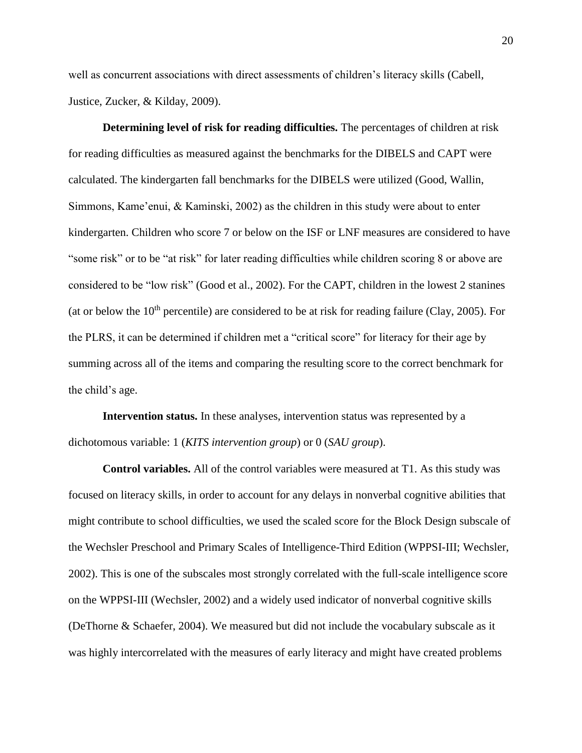well as concurrent associations with direct assessments of children's literacy skills (Cabell, Justice, Zucker, & Kilday, 2009).

**Determining level of risk for reading difficulties.** The percentages of children at risk for reading difficulties as measured against the benchmarks for the DIBELS and CAPT were calculated. The kindergarten fall benchmarks for the DIBELS were utilized (Good, Wallin, Simmons, Kame'enui, & Kaminski, 2002) as the children in this study were about to enter kindergarten. Children who score 7 or below on the ISF or LNF measures are considered to have "some risk" or to be "at risk" for later reading difficulties while children scoring 8 or above are considered to be "low risk" (Good et al., 2002). For the CAPT, children in the lowest 2 stanines (at or below the  $10<sup>th</sup>$  percentile) are considered to be at risk for reading failure (Clay, 2005). For the PLRS, it can be determined if children met a "critical score" for literacy for their age by summing across all of the items and comparing the resulting score to the correct benchmark for the child's age.

**Intervention status.** In these analyses, intervention status was represented by a dichotomous variable: 1 (*KITS intervention group*) or 0 (*SAU group*).

**Control variables.** All of the control variables were measured at T1. As this study was focused on literacy skills, in order to account for any delays in nonverbal cognitive abilities that might contribute to school difficulties, we used the scaled score for the Block Design subscale of the Wechsler Preschool and Primary Scales of Intelligence-Third Edition (WPPSI-III; Wechsler, 2002). This is one of the subscales most strongly correlated with the full-scale intelligence score on the WPPSI-III (Wechsler, 2002) and a widely used indicator of nonverbal cognitive skills (DeThorne & Schaefer, 2004). We measured but did not include the vocabulary subscale as it was highly intercorrelated with the measures of early literacy and might have created problems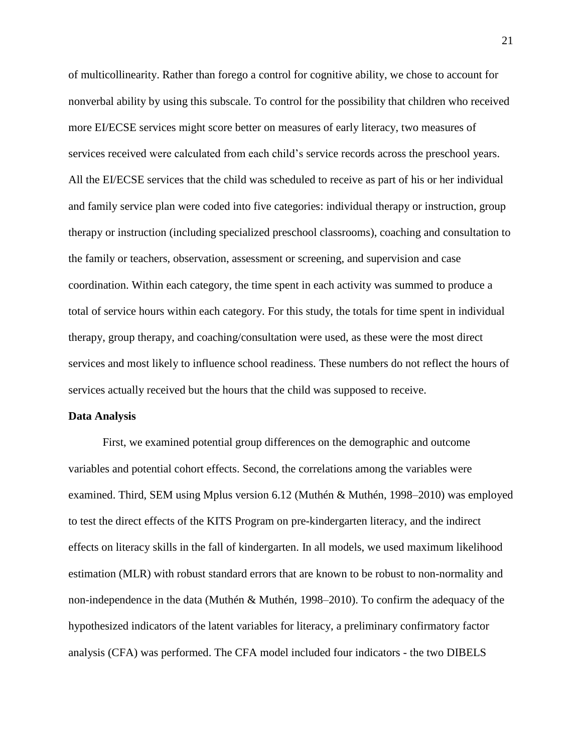of multicollinearity. Rather than forego a control for cognitive ability, we chose to account for nonverbal ability by using this subscale. To control for the possibility that children who received more EI/ECSE services might score better on measures of early literacy, two measures of services received were calculated from each child's service records across the preschool years. All the EI/ECSE services that the child was scheduled to receive as part of his or her individual and family service plan were coded into five categories: individual therapy or instruction, group therapy or instruction (including specialized preschool classrooms), coaching and consultation to the family or teachers, observation, assessment or screening, and supervision and case coordination. Within each category, the time spent in each activity was summed to produce a total of service hours within each category. For this study, the totals for time spent in individual therapy, group therapy, and coaching/consultation were used, as these were the most direct services and most likely to influence school readiness. These numbers do not reflect the hours of services actually received but the hours that the child was supposed to receive.

#### **Data Analysis**

First, we examined potential group differences on the demographic and outcome variables and potential cohort effects. Second, the correlations among the variables were examined. Third, SEM using Mplus version 6.12 (Muthén & Muthén, 1998–2010) was employed to test the direct effects of the KITS Program on pre-kindergarten literacy, and the indirect effects on literacy skills in the fall of kindergarten. In all models, we used maximum likelihood estimation (MLR) with robust standard errors that are known to be robust to non-normality and non-independence in the data (Muthén & Muthén, 1998–2010). To confirm the adequacy of the hypothesized indicators of the latent variables for literacy, a preliminary confirmatory factor analysis (CFA) was performed. The CFA model included four indicators - the two DIBELS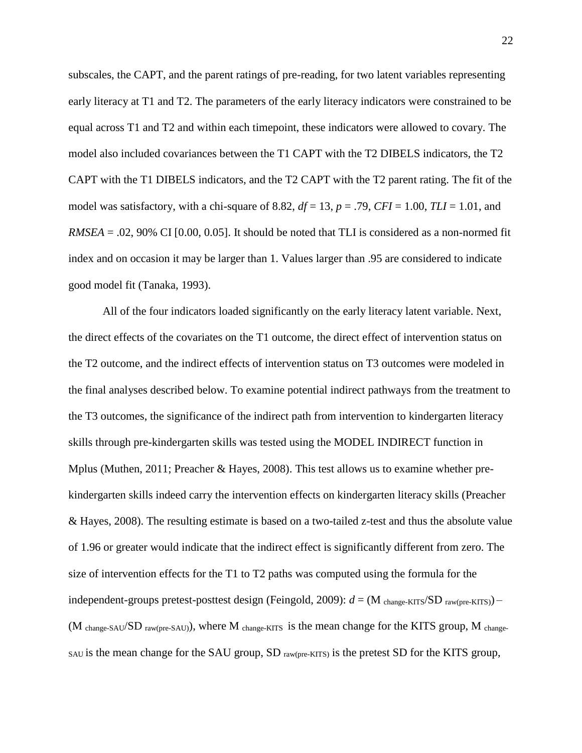subscales, the CAPT, and the parent ratings of pre-reading, for two latent variables representing early literacy at T1 and T2. The parameters of the early literacy indicators were constrained to be equal across T1 and T2 and within each timepoint, these indicators were allowed to covary. The model also included covariances between the T1 CAPT with the T2 DIBELS indicators, the T2 CAPT with the T1 DIBELS indicators, and the T2 CAPT with the T2 parent rating. The fit of the model was satisfactory, with a chi-square of 8.82,  $df = 13$ ,  $p = .79$ ,  $CFI = 1.00$ ,  $TLI = 1.01$ , and *RMSEA* = .02, 90% CI [0.00, 0.05]. It should be noted that TLI is considered as a non-normed fit index and on occasion it may be larger than 1. Values larger than .95 are considered to indicate good model fit (Tanaka, 1993).

All of the four indicators loaded significantly on the early literacy latent variable. Next, the direct effects of the covariates on the T1 outcome, the direct effect of intervention status on the T2 outcome, and the indirect effects of intervention status on T3 outcomes were modeled in the final analyses described below. To examine potential indirect pathways from the treatment to the T3 outcomes, the significance of the indirect path from intervention to kindergarten literacy skills through pre-kindergarten skills was tested using the MODEL INDIRECT function in Mplus (Muthen, 2011; Preacher & Hayes, 2008). This test allows us to examine whether prekindergarten skills indeed carry the intervention effects on kindergarten literacy skills (Preacher & Hayes, 2008). The resulting estimate is based on a two-tailed z-test and thus the absolute value of 1.96 or greater would indicate that the indirect effect is significantly different from zero. The size of intervention effects for the T1 to T2 paths was computed using the formula for the independent-groups pretest-posttest design (Feingold, 2009):  $d = (M_{change-KITS}/SD_{raw(pre-KITS)}) -$ (M change-SAU/SD raw(pre-SAU)), where M change-KITS is the mean change for the KITS group, M change- $_{SAU}$  is the mean change for the SAU group, SD  $_{raw(pre-KITS)}$  is the pretest SD for the KITS group,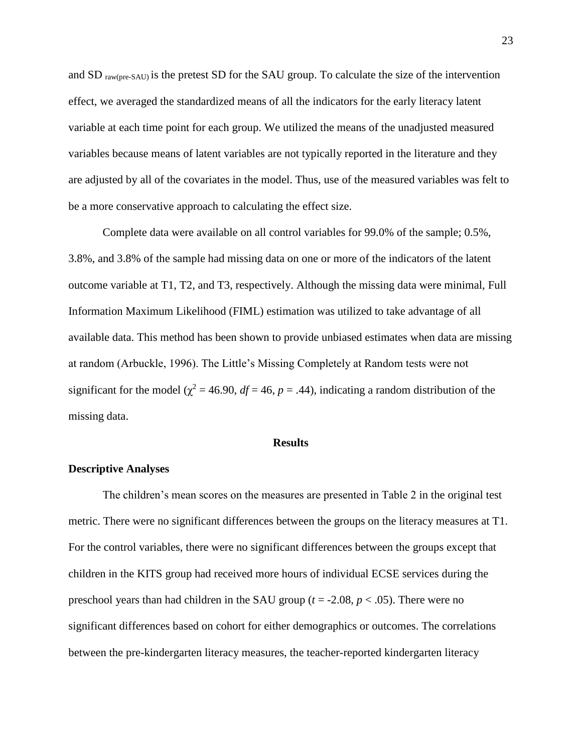and SD raw(pre-SAU) is the pretest SD for the SAU group. To calculate the size of the intervention effect, we averaged the standardized means of all the indicators for the early literacy latent variable at each time point for each group. We utilized the means of the unadjusted measured variables because means of latent variables are not typically reported in the literature and they are adjusted by all of the covariates in the model. Thus, use of the measured variables was felt to be a more conservative approach to calculating the effect size.

Complete data were available on all control variables for 99.0% of the sample; 0.5%, 3.8%, and 3.8% of the sample had missing data on one or more of the indicators of the latent outcome variable at T1, T2, and T3, respectively. Although the missing data were minimal, Full Information Maximum Likelihood (FIML) estimation was utilized to take advantage of all available data. This method has been shown to provide unbiased estimates when data are missing at random (Arbuckle, 1996). The Little's Missing Completely at Random tests were not significant for the model ( $\chi^2$  = 46.90, *df* = 46, *p* = .44), indicating a random distribution of the missing data.

#### **Results**

## **Descriptive Analyses**

The children's mean scores on the measures are presented in Table 2 in the original test metric. There were no significant differences between the groups on the literacy measures at T1. For the control variables, there were no significant differences between the groups except that children in the KITS group had received more hours of individual ECSE services during the preschool years than had children in the SAU group (*t* = -2.08, *p* < .05). There were no significant differences based on cohort for either demographics or outcomes. The correlations between the pre-kindergarten literacy measures, the teacher-reported kindergarten literacy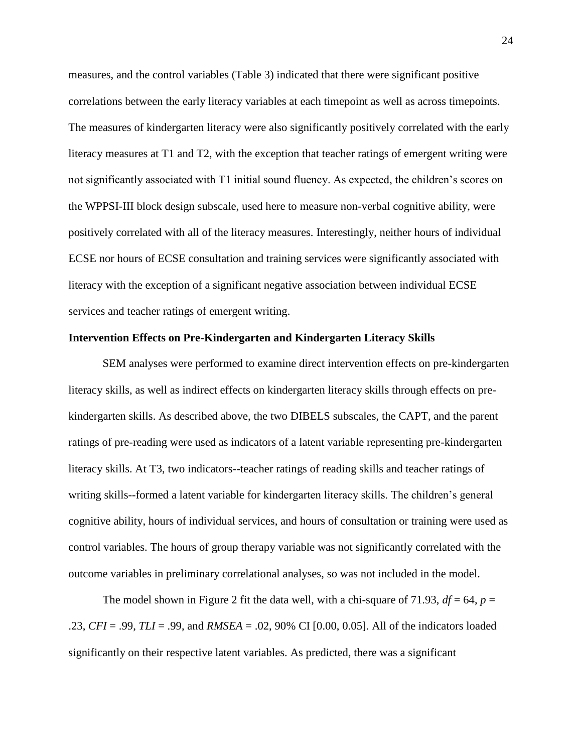measures, and the control variables (Table 3) indicated that there were significant positive correlations between the early literacy variables at each timepoint as well as across timepoints. The measures of kindergarten literacy were also significantly positively correlated with the early literacy measures at T1 and T2, with the exception that teacher ratings of emergent writing were not significantly associated with T1 initial sound fluency. As expected, the children's scores on the WPPSI-III block design subscale, used here to measure non-verbal cognitive ability, were positively correlated with all of the literacy measures. Interestingly, neither hours of individual ECSE nor hours of ECSE consultation and training services were significantly associated with literacy with the exception of a significant negative association between individual ECSE services and teacher ratings of emergent writing.

#### **Intervention Effects on Pre-Kindergarten and Kindergarten Literacy Skills**

SEM analyses were performed to examine direct intervention effects on pre-kindergarten literacy skills, as well as indirect effects on kindergarten literacy skills through effects on prekindergarten skills. As described above, the two DIBELS subscales, the CAPT, and the parent ratings of pre-reading were used as indicators of a latent variable representing pre-kindergarten literacy skills. At T3, two indicators--teacher ratings of reading skills and teacher ratings of writing skills--formed a latent variable for kindergarten literacy skills. The children's general cognitive ability, hours of individual services, and hours of consultation or training were used as control variables. The hours of group therapy variable was not significantly correlated with the outcome variables in preliminary correlational analyses, so was not included in the model.

The model shown in Figure 2 fit the data well, with a chi-square of 71.93,  $df = 64$ ,  $p =$ .23, *CFI* = .99, *TLI* = .99, and *RMSEA* = .02, 90% CI [0.00, 0.05]. All of the indicators loaded significantly on their respective latent variables. As predicted, there was a significant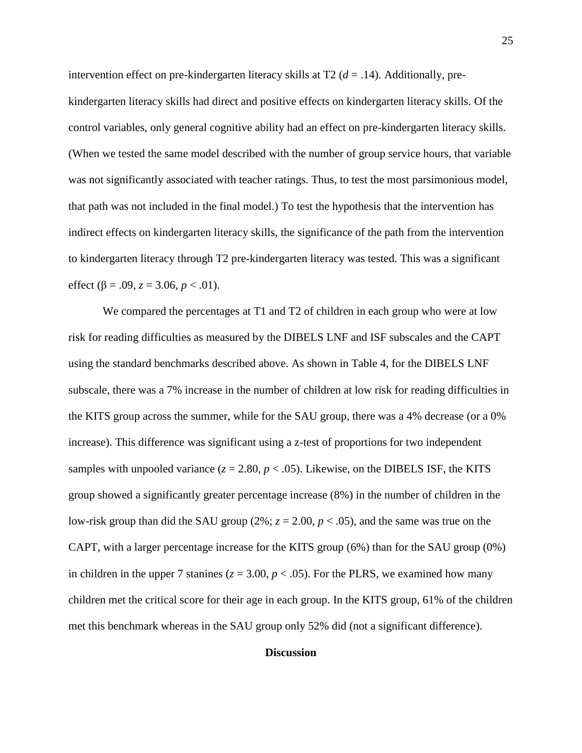intervention effect on pre-kindergarten literacy skills at T2 (*d* = .14). Additionally, prekindergarten literacy skills had direct and positive effects on kindergarten literacy skills. Of the control variables, only general cognitive ability had an effect on pre-kindergarten literacy skills. (When we tested the same model described with the number of group service hours, that variable was not significantly associated with teacher ratings. Thus, to test the most parsimonious model, that path was not included in the final model.) To test the hypothesis that the intervention has indirect effects on kindergarten literacy skills, the significance of the path from the intervention to kindergarten literacy through T2 pre-kindergarten literacy was tested. This was a significant effect  $(\beta = .09, z = 3.06, p < .01)$ .

We compared the percentages at T1 and T2 of children in each group who were at low risk for reading difficulties as measured by the DIBELS LNF and ISF subscales and the CAPT using the standard benchmarks described above. As shown in Table 4, for the DIBELS LNF subscale, there was a 7% increase in the number of children at low risk for reading difficulties in the KITS group across the summer, while for the SAU group, there was a 4% decrease (or a 0% increase). This difference was significant using a z-test of proportions for two independent samples with unpooled variance ( $z = 2.80$ ,  $p < .05$ ). Likewise, on the DIBELS ISF, the KITS group showed a significantly greater percentage increase (8%) in the number of children in the low-risk group than did the SAU group (2%;  $z = 2.00$ ,  $p < .05$ ), and the same was true on the CAPT, with a larger percentage increase for the KITS group (6%) than for the SAU group (0%) in children in the upper 7 stanines ( $z = 3.00$ ,  $p < .05$ ). For the PLRS, we examined how many children met the critical score for their age in each group. In the KITS group, 61% of the children met this benchmark whereas in the SAU group only 52% did (not a significant difference).

# **Discussion**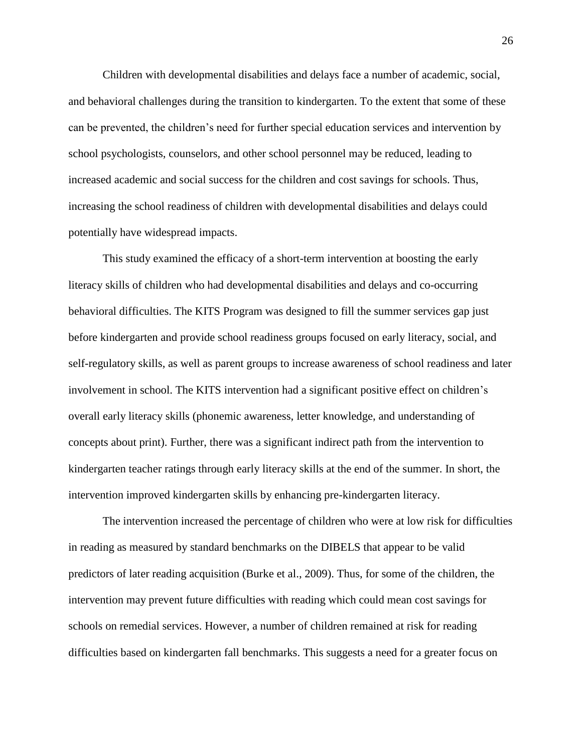Children with developmental disabilities and delays face a number of academic, social, and behavioral challenges during the transition to kindergarten. To the extent that some of these can be prevented, the children's need for further special education services and intervention by school psychologists, counselors, and other school personnel may be reduced, leading to increased academic and social success for the children and cost savings for schools. Thus, increasing the school readiness of children with developmental disabilities and delays could potentially have widespread impacts.

This study examined the efficacy of a short-term intervention at boosting the early literacy skills of children who had developmental disabilities and delays and co-occurring behavioral difficulties. The KITS Program was designed to fill the summer services gap just before kindergarten and provide school readiness groups focused on early literacy, social, and self-regulatory skills, as well as parent groups to increase awareness of school readiness and later involvement in school. The KITS intervention had a significant positive effect on children's overall early literacy skills (phonemic awareness, letter knowledge, and understanding of concepts about print). Further, there was a significant indirect path from the intervention to kindergarten teacher ratings through early literacy skills at the end of the summer. In short, the intervention improved kindergarten skills by enhancing pre-kindergarten literacy.

The intervention increased the percentage of children who were at low risk for difficulties in reading as measured by standard benchmarks on the DIBELS that appear to be valid predictors of later reading acquisition (Burke et al., 2009). Thus, for some of the children, the intervention may prevent future difficulties with reading which could mean cost savings for schools on remedial services. However, a number of children remained at risk for reading difficulties based on kindergarten fall benchmarks. This suggests a need for a greater focus on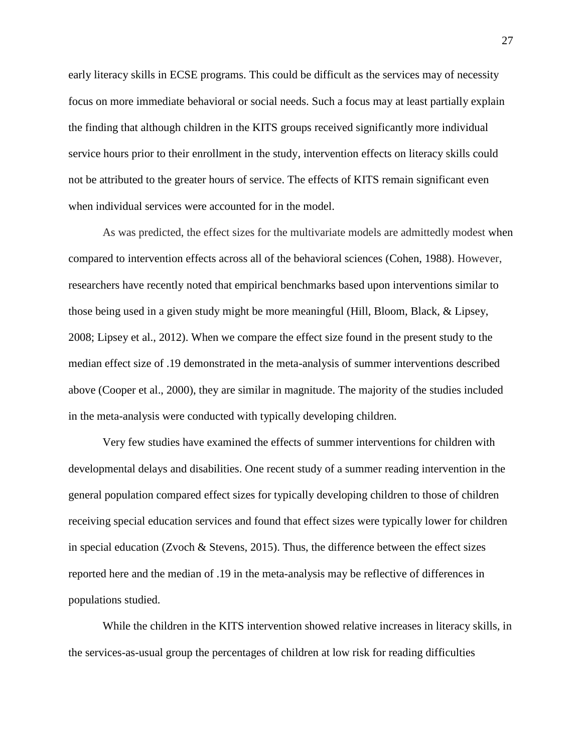early literacy skills in ECSE programs. This could be difficult as the services may of necessity focus on more immediate behavioral or social needs. Such a focus may at least partially explain the finding that although children in the KITS groups received significantly more individual service hours prior to their enrollment in the study, intervention effects on literacy skills could not be attributed to the greater hours of service. The effects of KITS remain significant even when individual services were accounted for in the model.

As was predicted, the effect sizes for the multivariate models are admittedly modest when compared to intervention effects across all of the behavioral sciences (Cohen, 1988). However, researchers have recently noted that empirical benchmarks based upon interventions similar to those being used in a given study might be more meaningful (Hill, Bloom, Black, & Lipsey, 2008; Lipsey et al., 2012). When we compare the effect size found in the present study to the median effect size of .19 demonstrated in the meta-analysis of summer interventions described above (Cooper et al., 2000), they are similar in magnitude. The majority of the studies included in the meta-analysis were conducted with typically developing children.

Very few studies have examined the effects of summer interventions for children with developmental delays and disabilities. One recent study of a summer reading intervention in the general population compared effect sizes for typically developing children to those of children receiving special education services and found that effect sizes were typically lower for children in special education (Zvoch  $\&$  Stevens, 2015). Thus, the difference between the effect sizes reported here and the median of .19 in the meta-analysis may be reflective of differences in populations studied.

While the children in the KITS intervention showed relative increases in literacy skills, in the services-as-usual group the percentages of children at low risk for reading difficulties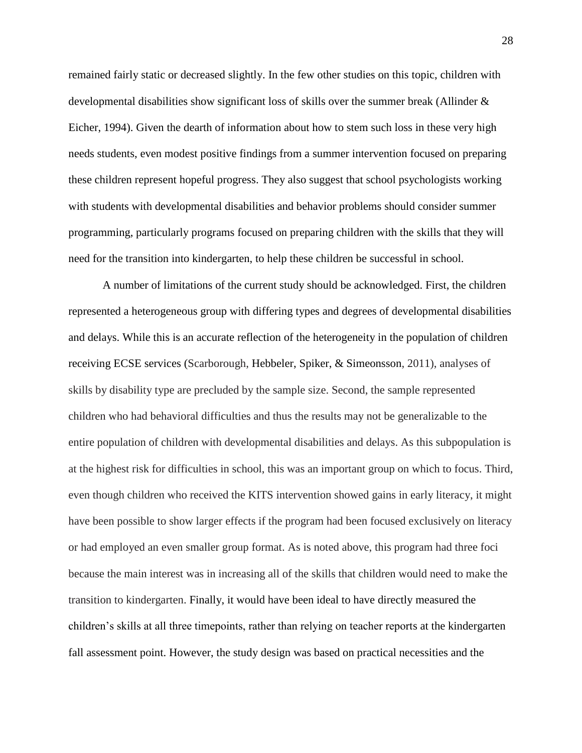remained fairly static or decreased slightly. In the few other studies on this topic, children with developmental disabilities show significant loss of skills over the summer break (Allinder & Eicher, 1994). Given the dearth of information about how to stem such loss in these very high needs students, even modest positive findings from a summer intervention focused on preparing these children represent hopeful progress. They also suggest that school psychologists working with students with developmental disabilities and behavior problems should consider summer programming, particularly programs focused on preparing children with the skills that they will need for the transition into kindergarten, to help these children be successful in school.

A number of limitations of the current study should be acknowledged. First, the children represented a heterogeneous group with differing types and degrees of developmental disabilities and delays. While this is an accurate reflection of the heterogeneity in the population of children receiving ECSE services (Scarborough, Hebbeler, Spiker, & Simeonsson, 2011), analyses of skills by disability type are precluded by the sample size. Second, the sample represented children who had behavioral difficulties and thus the results may not be generalizable to the entire population of children with developmental disabilities and delays. As this subpopulation is at the highest risk for difficulties in school, this was an important group on which to focus. Third, even though children who received the KITS intervention showed gains in early literacy, it might have been possible to show larger effects if the program had been focused exclusively on literacy or had employed an even smaller group format. As is noted above, this program had three foci because the main interest was in increasing all of the skills that children would need to make the transition to kindergarten. Finally, it would have been ideal to have directly measured the children's skills at all three timepoints, rather than relying on teacher reports at the kindergarten fall assessment point. However, the study design was based on practical necessities and the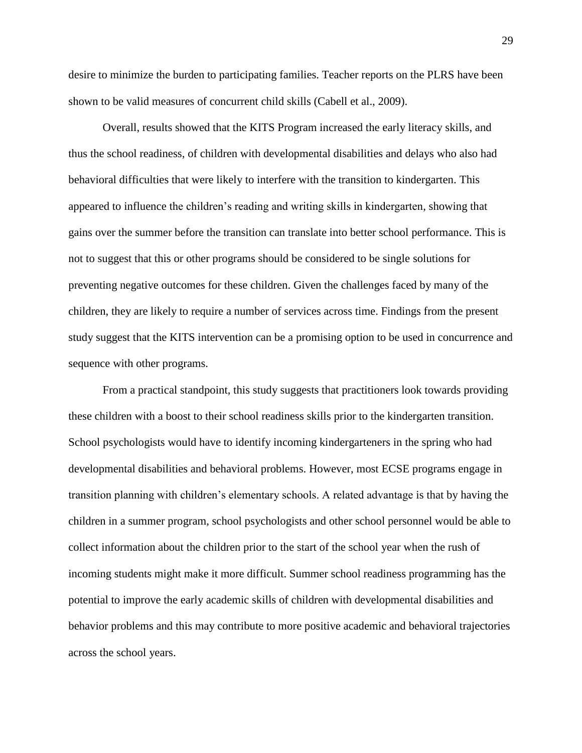desire to minimize the burden to participating families. Teacher reports on the PLRS have been shown to be valid measures of concurrent child skills (Cabell et al., 2009).

Overall, results showed that the KITS Program increased the early literacy skills, and thus the school readiness, of children with developmental disabilities and delays who also had behavioral difficulties that were likely to interfere with the transition to kindergarten. This appeared to influence the children's reading and writing skills in kindergarten, showing that gains over the summer before the transition can translate into better school performance. This is not to suggest that this or other programs should be considered to be single solutions for preventing negative outcomes for these children. Given the challenges faced by many of the children, they are likely to require a number of services across time. Findings from the present study suggest that the KITS intervention can be a promising option to be used in concurrence and sequence with other programs.

From a practical standpoint, this study suggests that practitioners look towards providing these children with a boost to their school readiness skills prior to the kindergarten transition. School psychologists would have to identify incoming kindergarteners in the spring who had developmental disabilities and behavioral problems. However, most ECSE programs engage in transition planning with children's elementary schools. A related advantage is that by having the children in a summer program, school psychologists and other school personnel would be able to collect information about the children prior to the start of the school year when the rush of incoming students might make it more difficult. Summer school readiness programming has the potential to improve the early academic skills of children with developmental disabilities and behavior problems and this may contribute to more positive academic and behavioral trajectories across the school years.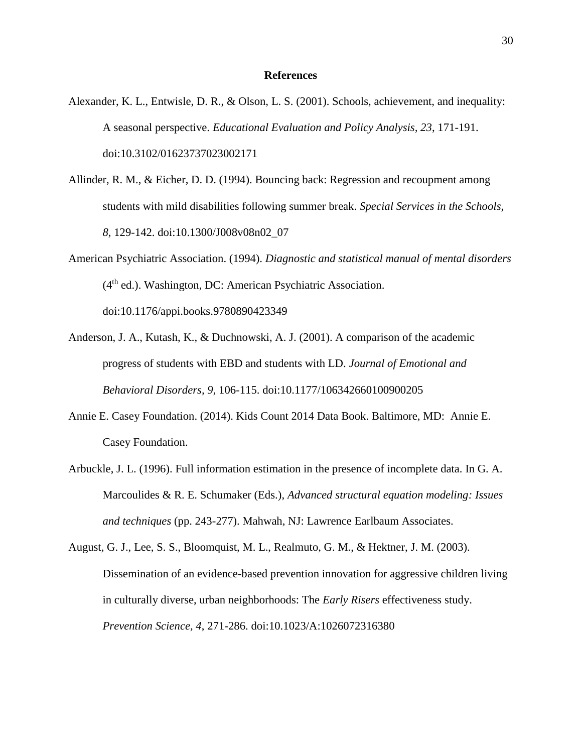#### **References**

- Alexander, K. L., Entwisle, D. R., & Olson, L. S. (2001). Schools, achievement, and inequality: A seasonal perspective. *Educational Evaluation and Policy Analysis, 23*, 171-191. doi[:10.3102/01623737023002171](http://dx.doi.org/10.3102%2F01623737023002171)
- Allinder, R. M., & Eicher, D. D. (1994). Bouncing back: Regression and recoupment among students with mild disabilities following summer break. *Special Services in the Schools, 8*, 129-142. doi:10.1300/J008v08n02\_07
- American Psychiatric Association. (1994). *Diagnostic and statistical manual of mental disorders*  $(4<sup>th</sup>$  ed.). Washington, DC: American Psychiatric Association. doi[:10.1176/appi.books.9780890423349](http://dx.doi.org/10.1176%2Fappi.books.9780890423349)
- Anderson, J. A., Kutash, K., & Duchnowski, A. J. (2001). A comparison of the academic progress of students with EBD and students with LD. *Journal of Emotional and Behavioral Disorders, 9*, 106-115. doi:10.1177/106342660100900205
- Annie E. Casey Foundation. (2014). Kids Count 2014 Data Book. Baltimore, MD: Annie E. Casey Foundation.
- Arbuckle, J. L. (1996). Full information estimation in the presence of incomplete data. In G. A. Marcoulides & R. E. Schumaker (Eds.), *Advanced structural equation modeling: Issues and techniques* (pp. 243-277). Mahwah, NJ: Lawrence Earlbaum Associates.
- August, G. J., Lee, S. S., Bloomquist, M. L., Realmuto, G. M., & Hektner, J. M. (2003). Dissemination of an evidence-based prevention innovation for aggressive children living in culturally diverse, urban neighborhoods: The *Early Risers* effectiveness study. *Prevention Science, 4*, 271-286. doi[:10.1023/A:1026072316380](http://psycnet.apa.org/doi/10.1023/A:1026072316380)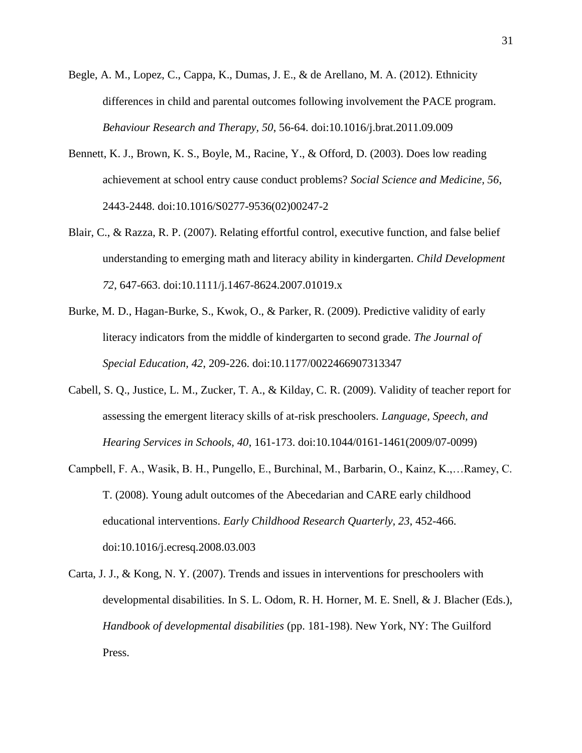- Begle, A. M., Lopez, C., Cappa, K., Dumas, J. E., & de Arellano, M. A. (2012). Ethnicity differences in child and parental outcomes following involvement the PACE program. *Behaviour Research and Therapy, 50*, 56-64. doi:10.1016/j.brat.2011.09.009
- Bennett, K. J., Brown, K. S., Boyle, M., Racine, Y., & Offord, D. (2003). Does low reading achievement at school entry cause conduct problems? *Social Science and Medicine, 56*, 2443-2448. doi:10.1016/S0277-9536(02)00247-2
- Blair, C., & Razza, R. P. (2007). Relating effortful control, executive function, and false belief understanding to emerging math and literacy ability in kindergarten. *Child Development 72*, 647-663. doi[:10.1111/j.1467-8624.2007.01019.x](http://dx.doi.org/10.1111/j.1467-8624.2007.01019.x)
- Burke, M. D., Hagan-Burke, S., Kwok, O., & Parker, R. (2009). Predictive validity of early literacy indicators from the middle of kindergarten to second grade. *The Journal of Special Education, 42*, 209-226. doi:10.1177/0022466907313347
- Cabell, S. Q., Justice, L. M., Zucker, T. A., & Kilday, C. R. (2009). Validity of teacher report for assessing the emergent literacy skills of at-risk preschoolers. *Language, Speech, and Hearing Services in Schools, 40*, 161-173. doi:10.1044/0161-1461(2009/07-0099)
- Campbell, F. A., Wasik, B. H., Pungello, E., Burchinal, M., Barbarin, O., Kainz, K.,…Ramey, C. T. (2008). Young adult outcomes of the Abecedarian and CARE early childhood educational interventions. *Early Childhood Research Quarterly, 23*, 452-466. doi[:10.1016/j.ecresq.2008.03.003](http://dx.doi.org/10.1016%2Fj.ecresq.2008.03.003)
- Carta, J. J., & Kong, N. Y. (2007). Trends and issues in interventions for preschoolers with developmental disabilities. In S. L. Odom, R. H. Horner, M. E. Snell, & J. Blacher (Eds.), *Handbook of developmental disabilities* (pp. 181-198). New York, NY: The Guilford Press.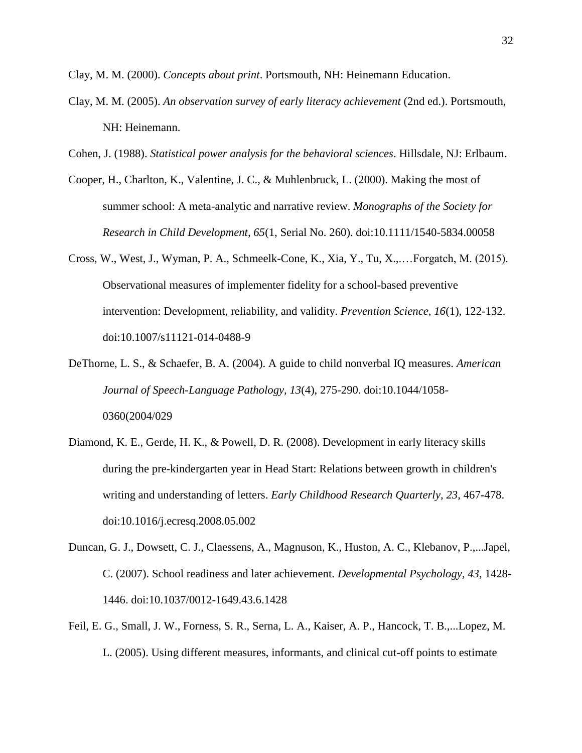Clay, M. M. (2000). *Concepts about print*. Portsmouth, NH: Heinemann Education.

- Clay, M. M. (2005). *An observation survey of early literacy achievement* (2nd ed.). Portsmouth, NH: Heinemann.
- Cohen, J. (1988). *Statistical power analysis for the behavioral sciences*. Hillsdale, NJ: Erlbaum.
- Cooper, H., Charlton, K., Valentine, J. C., & Muhlenbruck, L. (2000). Making the most of summer school: A meta-analytic and narrative review. *Monographs of the Society for Research in Child Development, 65*(1, Serial No. 260). doi[:10.1111/1540-5834.00058](http://psycnet.apa.org/doi/10.1111/1540-5834.00058)
- Cross, W., West, J., Wyman, P. A., Schmeelk-Cone, K., Xia, Y., Tu, X.,.…Forgatch, M. (2015). Observational measures [of implementer](http://psycnet.apa.org/index.cfm?fa=search.displayRecord&id=F8AAE668-B6EB-F2B0-42AC-349A0CEB00F4&resultID=1&page=1&dbTab=all&search=true) fidelity for a school-based preventive intervention: [Development, reliability, and validity.](http://psycnet.apa.org/index.cfm?fa=search.displayRecord&id=F8AAE668-B6EB-F2B0-42AC-349A0CEB00F4&resultID=1&page=1&dbTab=all&search=true) *Prevention Science, 16*(1), 122-132. doi[:10.1007/s11121-014-0488-9](http://psycnet.apa.org/doi/10.1007/s11121-014-0488-9)
- DeThorne, L. S., & Schaefer, B. A. (2004). A guide to child nonverbal IQ measures. *American Journal of Speech-Language Pathology, 13*(4), 275-290. doi:10.1044/1058- 0360(2004/029
- Diamond, K. E., Gerde, H. K., & Powell, D. R. (2008). Development in early literacy skills during the pre-kindergarten year in Head Start: Relations between growth in children's writing and understanding of letters. *Early Childhood Research Quarterly, 23*, 467-478. doi:10.1016/j.ecresq.2008.05.002
- Duncan, G. J., Dowsett, C. J., Claessens, A., Magnuson, K., Huston, A. C., Klebanov, P.,...Japel, C. (2007). School readiness and later achievement. *Developmental Psychology, 43*, 1428- 1446. doi[:10.1037/0012-1649.43.6.1428](http://dx.doi.org/10.1037%2F0012-1649.43.6.1428)
- Feil, E. G., Small, J. W., Forness, S. R., Serna, L. A., Kaiser, A. P., Hancock, T. B.,...Lopez, M. L. (2005). Using different measures, informants, and clinical cut-off points to estimate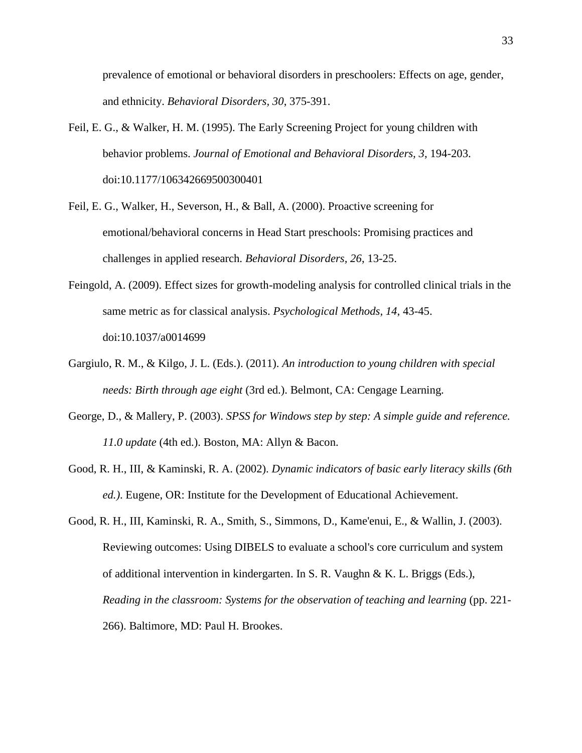prevalence of emotional or behavioral disorders in preschoolers: Effects on age, gender, and ethnicity. *Behavioral Disorders, 30*, 375-391.

- Feil, E. G., & Walker, H. M. (1995). The Early Screening Project for young children with behavior problems. *Journal of Emotional and Behavioral Disorders, 3*, 194-203. doi[:10.1177/106342669500300401](http://dx.doi.org/10.1177/106342669500300401)
- Feil, E. G., Walker, H., Severson, H., & Ball, A. (2000). Proactive screening for emotional/behavioral concerns in Head Start preschools: Promising practices and challenges in applied research. *Behavioral Disorders, 26*, 13-25.
- Feingold, A. (2009). Effect sizes for growth-modeling analysis for controlled clinical trials in the same metric as for classical analysis. *Psychological Methods, 14*, 43-45. doi[:10.1037/a0014699](http://dx.doi.org/10.1037%2Fa0014699)
- Gargiulo, R. M., & Kilgo, J. L. (Eds.). (2011). *An introduction to young children with special needs: Birth through age eight* (3rd ed.). Belmont, CA: Cengage Learning.
- George, D., & Mallery, P. (2003). *SPSS for Windows step by step: A simple guide and reference. 11.0 update* (4th ed.). Boston, MA: Allyn & Bacon.
- Good, R. H., III, & Kaminski, R. A. (2002). *Dynamic indicators of basic early literacy skills (6th ed.)*. Eugene, OR: Institute for the Development of Educational Achievement.
- Good, R. H., III, Kaminski, R. A., Smith, S., Simmons, D., Kame'enui, E., & Wallin, J. (2003). Reviewing outcomes: Using DIBELS to evaluate a school's core curriculum and system of additional intervention in kindergarten. In S. R. Vaughn & K. L. Briggs (Eds.), *Reading in the classroom: Systems for the observation of teaching and learning* (pp. 221- 266). Baltimore, MD: Paul H. Brookes.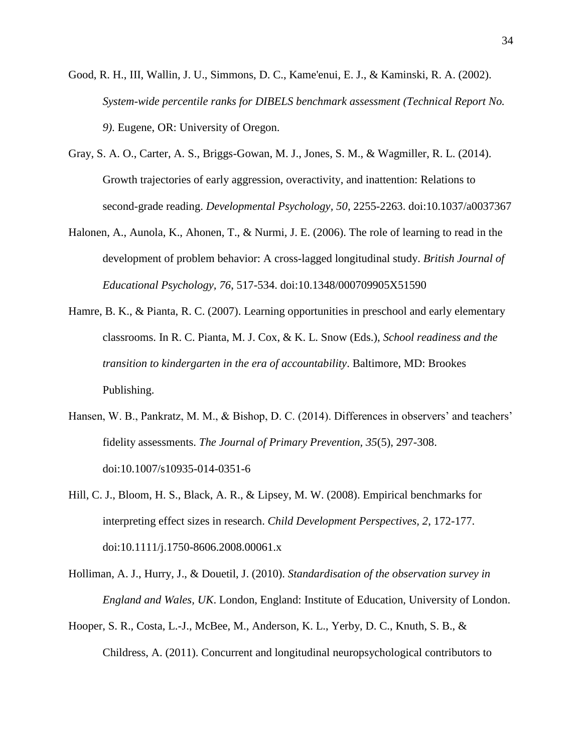- Good, R. H., III, Wallin, J. U., Simmons, D. C., Kame'enui, E. J., & Kaminski, R. A. (2002). *System-wide percentile ranks for DIBELS benchmark assessment (Technical Report No. 9)*. Eugene, OR: University of Oregon.
- Gray, S. A. O., Carter, A. S., Briggs-Gowan, M. J., Jones, S. M., & Wagmiller, R. L. (2014). Growth trajectories of early aggression, overactivity, and inattention: Relations to second-grade reading. *Developmental Psychology, 50*, 2255-2263. doi:10.1037/a0037367
- Halonen, A., Aunola, K., Ahonen, T., & Nurmi, J. E. (2006). The role of learning to read in the development of problem behavior: A cross-lagged longitudinal study. *British Journal of Educational Psychology, 76*, 517-534. doi[:10.1348/000709905X51590](http://dx.doi.org/10.1348%2F000709905X51590)
- Hamre, B. K., & Pianta, R. C. (2007). Learning opportunities in preschool and early elementary classrooms. In R. C. Pianta, M. J. Cox, & K. L. Snow (Eds.), *School readiness and the transition to kindergarten in the era of accountability*. Baltimore, MD: Brookes Publishing.
- Hansen, W. B., Pankratz, M. M., & Bishop, D. C. (2014). Differences in observers' and teachers' fidelity assessments. *The Journal of Primary Prevention, 35*(5), 297-308. doi:10.1007/s10935-014-0351-6
- Hill, C. J., Bloom, H. S., Black, A. R., & Lipsey, M. W. (2008). Empirical benchmarks for interpreting effect sizes in research. *Child Development Perspectives, 2*, 172-177. doi:10.1111/j.1750-8606.2008.00061.x
- Holliman, A. J., Hurry, J., & Douetil, J. (2010). *Standardisation of the observation survey in England and Wales, UK*. London, England: Institute of Education, University of London.
- Hooper, S. R., Costa, L.-J., McBee, M., Anderson, K. L., Yerby, D. C., Knuth, S. B., & Childress, A. (2011). Concurrent and longitudinal neuropsychological contributors to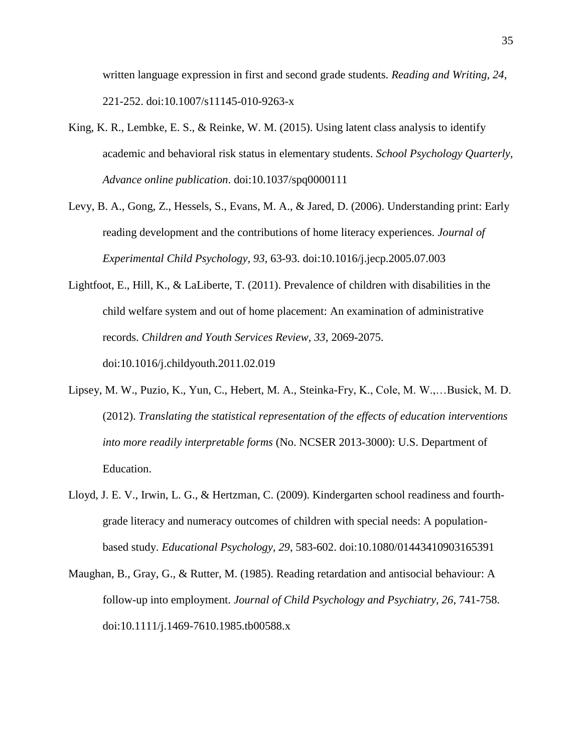written language expression in first and second grade students. *Reading and Writing, 24*, 221-252. doi:10.1007/s11145-010-9263-x

- King, K. R., Lembke, E. S., & Reinke, W. M. (2015). Using latent class analysis to identify academic and behavioral risk status in elementary students. *School Psychology Quarterly, Advance online publication*. doi:10.1037/spq0000111
- Levy, B. A., Gong, Z., Hessels, S., Evans, M. A., & Jared, D. (2006). Understanding print: Early reading development and the contributions of home literacy experiences. *Journal of Experimental Child Psychology, 93*, 63-93. doi:10.1016/j.jecp.2005.07.003
- Lightfoot, E., Hill, K., & LaLiberte, T. (2011). Prevalence of children with disabilities in the child welfare system and out of home placement: An examination of administrative records. *Children and Youth Services Review, 33*, 2069-2075. doi:10.1016/j.childyouth.2011.02.019
- Lipsey, M. W., Puzio, K., Yun, C., Hebert, M. A., Steinka-Fry, K., Cole, M. W.,…Busick, M. D. (2012). *Translating the statistical representation of the effects of education interventions into more readily interpretable forms* (No. NCSER 2013-3000): U.S. Department of Education.
- Lloyd, J. E. V., Irwin, L. G., & Hertzman, C. (2009). Kindergarten school readiness and fourthgrade literacy and numeracy outcomes of children with special needs: A populationbased study. *Educational Psychology, 29*, 583-602. doi:10.1080/01443410903165391
- Maughan, B., Gray, G., & Rutter, M. (1985). Reading retardation and antisocial behaviour: A follow-up into employment. *Journal of Child Psychology and Psychiatry, 26*, 741-758. doi:10.1111/j.1469-7610.1985.tb00588.x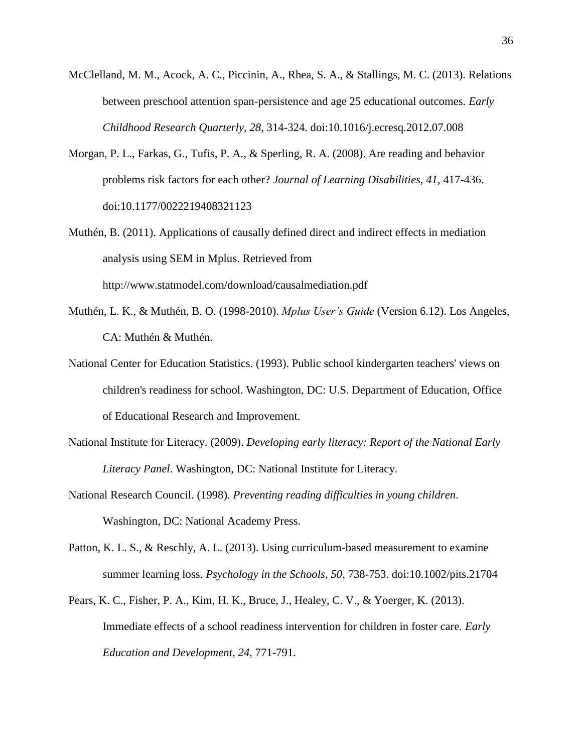- McClelland, M. M., Acock, A. C., Piccinin, A., Rhea, S. A., & Stallings, M. C. (2013). Relations between preschool attention span-persistence and age 25 educational outcomes. *Early Childhood Research Quarterly, 28*, 314-324. doi:10.1016/j.ecresq.2012.07.008
- Morgan, P. L., Farkas, G., Tufis, P. A., & Sperling, R. A. (2008). Are reading and behavior problems risk factors for each other? *Journal of Learning Disabilities, 41*, 417-436. doi[:10.1177/0022219408321123](http://dx.doi.org/10.1177/0022219408321123)
- Muthén, B. (2011). Applications of causally defined direct and indirect effects in mediation analysis using SEM in Mplus. Retrieved from

<http://www.statmodel.com/download/causalmediation.pdf>

- Muthén, L. K., & Muthén, B. O. (1998-2010). *Mplus User's Guide* (Version 6.12). Los Angeles, CA: Muthén & Muthén.
- National Center for Education Statistics. (1993). Public school kindergarten teachers' views on children's readiness for school. Washington, DC: U.S. Department of Education, Office of Educational Research and Improvement.
- National Institute for Literacy. (2009). *Developing early literacy: Report of the National Early Literacy Panel*. Washington, DC: National Institute for Literacy.
- National Research Council. (1998). *Preventing reading difficulties in young children*. Washington, DC: National Academy Press.
- Patton, K. L. S., & Reschly, A. L. (2013). Using curriculum-based measurement to examine summer learning loss. *Psychology in the Schools, 50*, 738-753. doi:10.1002/pits.21704
- Pears, K. C., Fisher, P. A., Kim, H. K., Bruce, J., Healey, C. V., & Yoerger, K. (2013). Immediate effects of a school readiness intervention for children in foster care. *Early Education and Development, 24*, 771-791.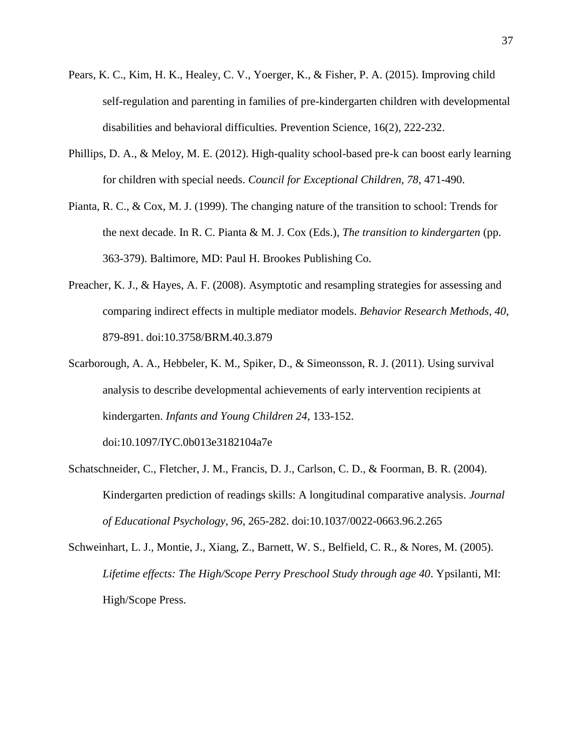- Pears, K. C., Kim, H. K., Healey, C. V., Yoerger, K., & Fisher, P. A. (2015). Improving child self-regulation and parenting in families of pre-kindergarten children with developmental disabilities and behavioral difficulties. Prevention Science*,* 16(2), 222-232.
- Phillips, D. A., & Meloy, M. E. (2012). High-quality school-based pre-k can boost early learning for children with special needs. *Council for Exceptional Children, 78*, 471-490.
- Pianta, R. C., & Cox, M. J. (1999). The changing nature of the transition to school: Trends for the next decade. In R. C. Pianta & M. J. Cox (Eds.), *The transition to kindergarten* (pp. 363-379). Baltimore, MD: Paul H. Brookes Publishing Co.
- Preacher, K. J., & Hayes, A. F. (2008). Asymptotic and resampling strategies for assessing and comparing indirect effects in multiple mediator models. *Behavior Research Methods, 40*, 879-891. doi[:10.3758/BRM.40.3.879](http://dx.doi.org/10.3758/BRM.40.3.879)
- Scarborough, A. A., Hebbeler, K. M., Spiker, D., & Simeonsson, R. J. (2011). Using survival analysis to describe developmental achievements of early intervention recipients at kindergarten. *Infants and Young Children 24*, 133-152.

doi:10.1097/IYC.0b013e3182104a7e

- Schatschneider, C., Fletcher, J. M., Francis, D. J., Carlson, C. D., & Foorman, B. R. (2004). Kindergarten prediction of readings skills: A longitudinal comparative analysis. *Journal of Educational Psychology, 96*, 265-282. doi:10.1037/0022-0663.96.2.265
- Schweinhart, L. J., Montie, J., Xiang, Z., Barnett, W. S., Belfield, C. R., & Nores, M. (2005). *Lifetime effects: The High/Scope Perry Preschool Study through age 40*. Ypsilanti, MI: High/Scope Press.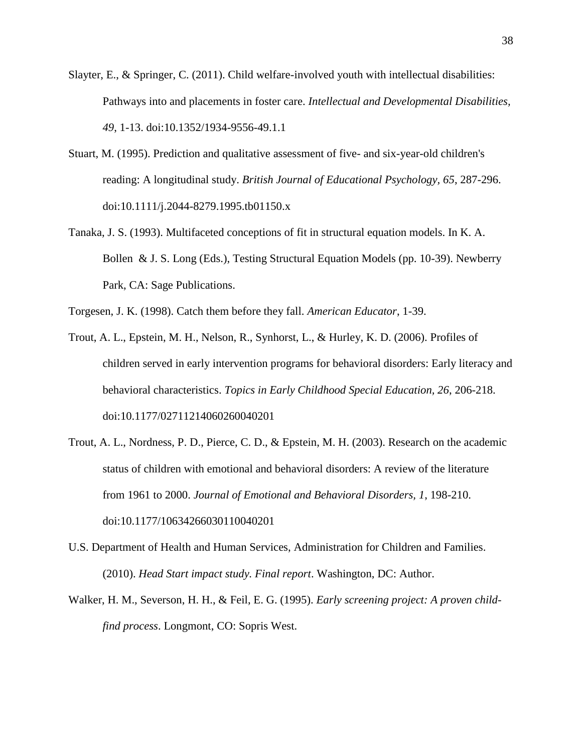- Slayter, E., & Springer, C. (2011). Child welfare-involved youth with intellectual disabilities: Pathways into and placements in foster care. *Intellectual and Developmental Disabilities, 49*, 1-13. doi:10.1352/1934-9556-49.1.1
- Stuart, M. (1995). Prediction and qualitative assessment of five- and six-year-old children's reading: A longitudinal study. *British Journal of Educational Psychology, 65*, 287-296. doi:10.1111/j.2044-8279.1995.tb01150.x
- Tanaka, J. S. (1993). Multifaceted conceptions of fit in structural equation models. In K. A. Bollen & J. S. Long (Eds.), Testing Structural Equation Models (pp. 10-39). Newberry Park, CA: Sage Publications.

Torgesen, J. K. (1998). Catch them before they fall. *American Educator*, 1-39.

- Trout, A. L., Epstein, M. H., Nelson, R., Synhorst, L., & Hurley, K. D. (2006). Profiles of children served in early intervention programs for behavioral disorders: Early literacy and behavioral characteristics. *Topics in Early Childhood Special Education, 26*, 206-218. doi:10.1177/02711214060260040201
- Trout, A. L., Nordness, P. D., Pierce, C. D., & Epstein, M. H. (2003). Research on the academic status of children with emotional and behavioral disorders: A review of the literature from 1961 to 2000. *Journal of Emotional and Behavioral Disorders, 1*, 198-210. doi:10.1177/10634266030110040201
- U.S. Department of Health and Human Services, Administration for Children and Families. (2010). *Head Start impact study. Final report*. Washington, DC: Author.
- Walker, H. M., Severson, H. H., & Feil, E. G. (1995). *Early screening project: A proven childfind process*. Longmont, CO: Sopris West.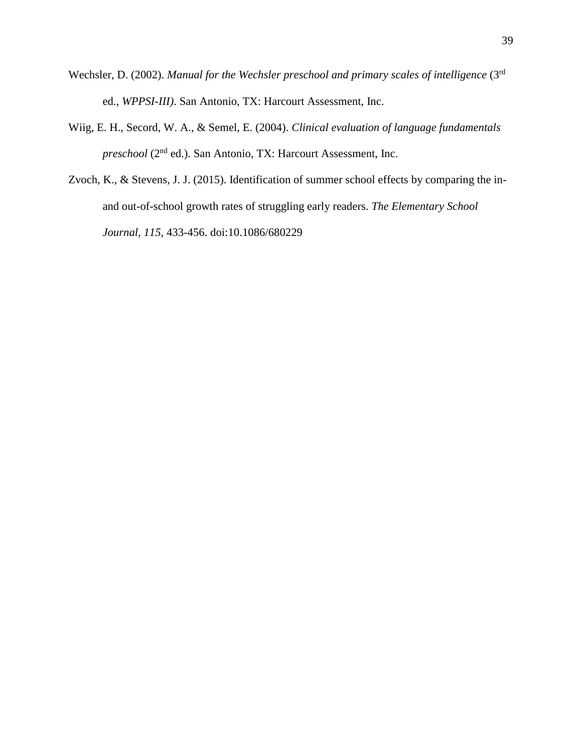- Wechsler, D. (2002). *Manual for the Wechsler preschool and primary scales of intelligence* (3<sup>rd</sup> ed., *WPPSI-III)*. San Antonio, TX: Harcourt Assessment, Inc.
- Wiig, E. H., Secord, W. A., & Semel, E. (2004). *Clinical evaluation of language fundamentals preschool* (2<sup>nd</sup> ed.). San Antonio, TX: Harcourt Assessment, Inc.
- Zvoch, K., & Stevens, J. J. (2015). Identification of summer school effects by comparing the inand out-of-school growth rates of struggling early readers. *The Elementary School Journal, 115*, 433-456. doi:10.1086/680229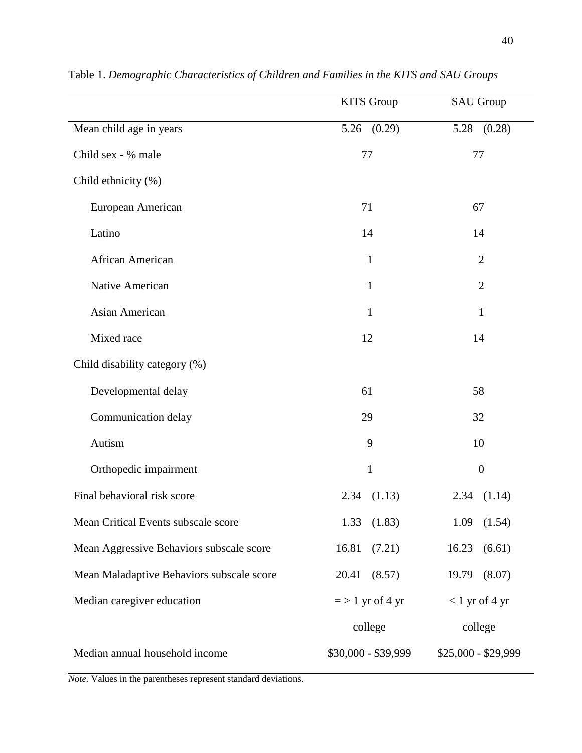|                                           | <b>KITS</b> Group   | <b>SAU Group</b>    |
|-------------------------------------------|---------------------|---------------------|
| Mean child age in years                   | 5.26 $(0.29)$       | $5.28$ $(0.28)$     |
| Child sex - % male                        | 77                  | 77                  |
| Child ethnicity (%)                       |                     |                     |
| European American                         | 71                  | 67                  |
| Latino                                    | 14                  | 14                  |
| African American                          | $\mathbf{1}$        | $\overline{2}$      |
| Native American                           | $\mathbf{1}$        | $\overline{2}$      |
| <b>Asian American</b>                     | $\mathbf{1}$        | $\mathbf{1}$        |
| Mixed race                                | 12                  | 14                  |
| Child disability category (%)             |                     |                     |
| Developmental delay                       | 61                  | 58                  |
| Communication delay                       | 29                  | 32                  |
| Autism                                    | 9                   | 10                  |
| Orthopedic impairment                     | $\mathbf{1}$        | $\boldsymbol{0}$    |
| Final behavioral risk score               | (1.13)<br>2.34      | (1.14)<br>2.34      |
| Mean Critical Events subscale score       | 1.33<br>(1.83)      | 1.09<br>(1.54)      |
| Mean Aggressive Behaviors subscale score  | 16.81<br>(7.21)     | 16.23<br>(6.61)     |
| Mean Maladaptive Behaviors subscale score | 20.41<br>(8.57)     | (8.07)<br>19.79     |
| Median caregiver education                | $=$ > 1 yr of 4 yr  | $< 1$ yr of 4 yr    |
|                                           | college             | college             |
| Median annual household income            | \$30,000 - \$39,999 | \$25,000 - \$29,999 |

Table 1. *Demographic Characteristics of Children and Families in the KITS and SAU Groups*

*Note.* Values in the parentheses represent standard deviations.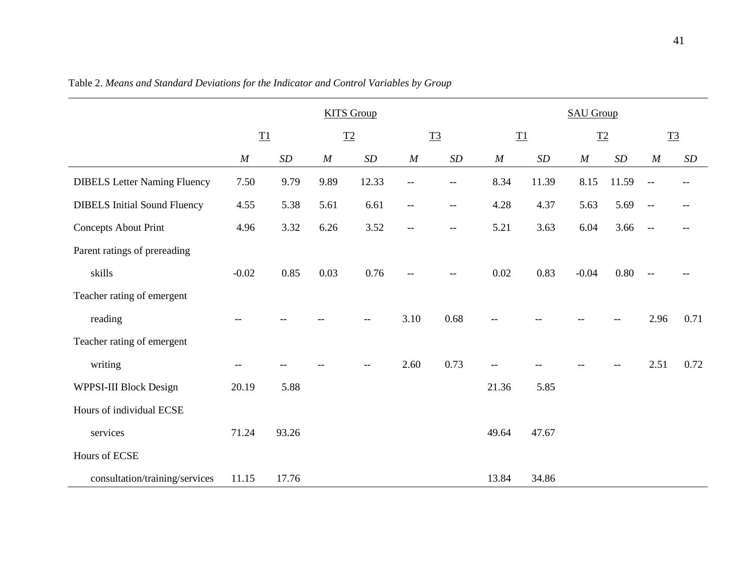|                                     | <b>KITS</b> Group |                   |          |                          |                          |                          | <b>SAU Group</b> |                   |          |                               |               |                          |
|-------------------------------------|-------------------|-------------------|----------|--------------------------|--------------------------|--------------------------|------------------|-------------------|----------|-------------------------------|---------------|--------------------------|
|                                     | T1                |                   |          | $\underline{T2}$         |                          | T3                       |                  | $\underline{T1}$  |          | $\underline{T3}$<br><u>T2</u> |               |                          |
|                                     | $\cal M$          | $\boldsymbol{SD}$ | $\cal M$ | SD                       | $\cal M$                 | $\cal SD$                | $\cal M$         | $\boldsymbol{SD}$ | $\cal M$ | SD                            | $\cal M$      | SD                       |
| <b>DIBELS Letter Naming Fluency</b> | 7.50              | 9.79              | 9.89     | 12.33                    | $-$                      | $\overline{\phantom{a}}$ | 8.34             | 11.39             | 8.15     | 11.59                         | $\rightarrow$ | $\overline{\phantom{m}}$ |
| <b>DIBELS</b> Initial Sound Fluency | 4.55              | 5.38              | 5.61     | 6.61                     | $--$                     | $\overline{\phantom{m}}$ | 4.28             | 4.37              | 5.63     | 5.69                          | $\sim$        | $-\,-$                   |
| <b>Concepts About Print</b>         | 4.96              | 3.32              | 6.26     | 3.52                     | $\overline{\phantom{m}}$ | $\overline{\phantom{a}}$ | 5.21             | 3.63              | 6.04     | 3.66                          | $-$           | $\overline{\phantom{a}}$ |
| Parent ratings of prereading        |                   |                   |          |                          |                          |                          |                  |                   |          |                               |               |                          |
| skills                              | $-0.02$           | 0.85              | 0.03     | 0.76                     | $-$                      | $\overline{\phantom{a}}$ | 0.02             | 0.83              | $-0.04$  | 0.80                          | $-$           | $\overline{\phantom{a}}$ |
| Teacher rating of emergent          |                   |                   |          |                          |                          |                          |                  |                   |          |                               |               |                          |
| reading                             |                   |                   |          | $\overline{\phantom{a}}$ | 3.10                     | 0.68                     | --               |                   |          |                               | 2.96          | 0.71                     |
| Teacher rating of emergent          |                   |                   |          |                          |                          |                          |                  |                   |          |                               |               |                          |
| writing                             |                   |                   |          | $\overline{\phantom{a}}$ | 2.60                     | 0.73                     |                  |                   |          | $-$                           | 2.51          | 0.72                     |
| <b>WPPSI-III Block Design</b>       | 20.19             | 5.88              |          |                          |                          |                          | 21.36            | 5.85              |          |                               |               |                          |
| Hours of individual ECSE            |                   |                   |          |                          |                          |                          |                  |                   |          |                               |               |                          |
| services                            | 71.24             | 93.26             |          |                          |                          |                          | 49.64            | 47.67             |          |                               |               |                          |
| Hours of ECSE                       |                   |                   |          |                          |                          |                          |                  |                   |          |                               |               |                          |
| consultation/training/services      | 11.15             | 17.76             |          |                          |                          |                          | 13.84            | 34.86             |          |                               |               |                          |

Table 2. *Means and Standard Deviations for the Indicator and Control Variables by Group*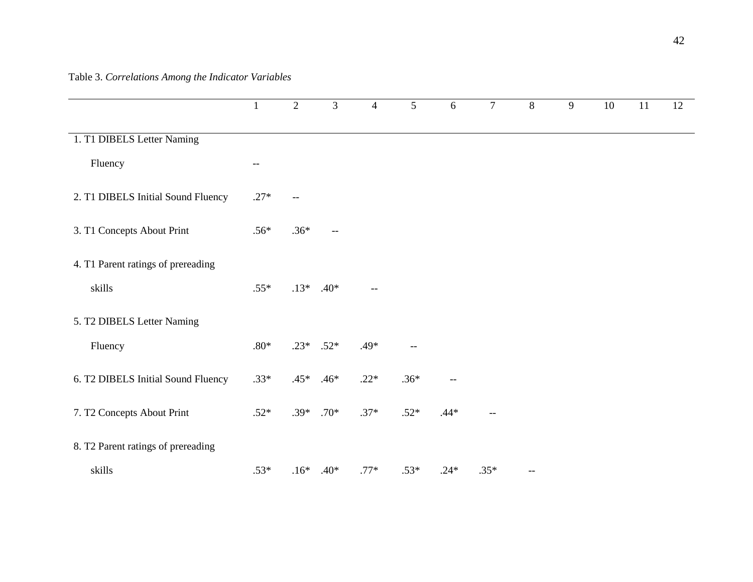# Table 3. *Correlations Among the Indicator Variables*

| $\mathbf{1}$ | 2                          | $\overline{3}$ | $\overline{4}$                  | 5                | 6                | $\overline{7}$ | 8      | 9                        | 10 | 11 | 12 |
|--------------|----------------------------|----------------|---------------------------------|------------------|------------------|----------------|--------|--------------------------|----|----|----|
|              |                            |                |                                 |                  |                  |                |        |                          |    |    |    |
| --           |                            |                |                                 |                  |                  |                |        |                          |    |    |    |
|              |                            |                |                                 |                  |                  |                |        |                          |    |    |    |
|              | $\overline{\phantom{m}}$   |                |                                 |                  |                  |                |        |                          |    |    |    |
| $.56*$       | $.36*$                     |                |                                 |                  |                  |                |        |                          |    |    |    |
|              |                            |                |                                 |                  |                  |                |        |                          |    |    |    |
| $.55*$       | $.13*$                     | $.40*$         | $\overline{\phantom{a}}$        |                  |                  |                |        |                          |    |    |    |
|              |                            |                |                                 |                  |                  |                |        |                          |    |    |    |
| $.80*$       |                            |                | .49*                            |                  |                  |                |        |                          |    |    |    |
|              |                            |                |                                 |                  |                  |                |        |                          |    |    |    |
|              |                            | $.46*$         |                                 |                  | $- -$            |                |        |                          |    |    |    |
| $.52*$       | $.39*$                     | $.70*$         | $.37*$                          | $.52*$           | $.44*$           | $-$            |        |                          |    |    |    |
|              |                            |                |                                 |                  |                  |                |        |                          |    |    |    |
|              |                            |                |                                 |                  |                  |                |        |                          |    |    |    |
|              | $.27*$<br>$.33*$<br>$.53*$ | $.45*$         | $.23*$ .52*<br>$.16*$<br>$.40*$ | $.22*$<br>$.77*$ | $.36*$<br>$.53*$ | $.24*$         | $.35*$ | $\overline{\phantom{m}}$ |    |    |    |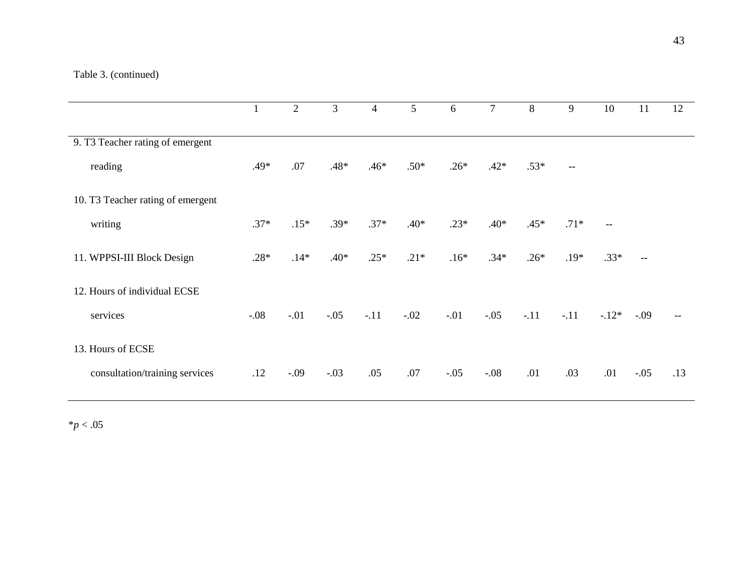# Table 3. (continued)

|                                   |        | 2      | 3      | 4      | 5      | 6      | $\overline{7}$ | 8      | 9                                                   | 10                       | 11      | 12  |
|-----------------------------------|--------|--------|--------|--------|--------|--------|----------------|--------|-----------------------------------------------------|--------------------------|---------|-----|
| 9. T3 Teacher rating of emergent  |        |        |        |        |        |        |                |        |                                                     |                          |         |     |
| reading                           | .49*   | .07    | $.48*$ | $.46*$ | $.50*$ | $.26*$ | $.42*$         | $.53*$ | $\hspace{0.05cm} -\hspace{0.05cm} -\hspace{0.05cm}$ |                          |         |     |
| 10. T3 Teacher rating of emergent |        |        |        |        |        |        |                |        |                                                     |                          |         |     |
| writing                           | $.37*$ | $.15*$ | $.39*$ | $.37*$ | $.40*$ | $.23*$ | $.40*$         | $.45*$ | $.71*$                                              | $\overline{\phantom{m}}$ |         |     |
| 11. WPPSI-III Block Design        | $.28*$ | $.14*$ | $.40*$ | $.25*$ | $.21*$ | $.16*$ | $.34*$         | $.26*$ | $.19*$                                              | $.33*$                   | $-\, -$ |     |
| 12. Hours of individual ECSE      |        |        |        |        |        |        |                |        |                                                     |                          |         |     |
| services                          | $-.08$ | $-.01$ | $-.05$ | $-.11$ | $-.02$ | $-.01$ | $-.05$         | $-.11$ | $-.11$                                              | $-12*$                   | $-.09$  |     |
| 13. Hours of ECSE                 |        |        |        |        |        |        |                |        |                                                     |                          |         |     |
| consultation/training services    | .12    | $-.09$ | $-.03$ | .05    | .07    | $-.05$ | $-.08$         | .01    | .03                                                 | .01                      | $-.05$  | .13 |

\**p* < .05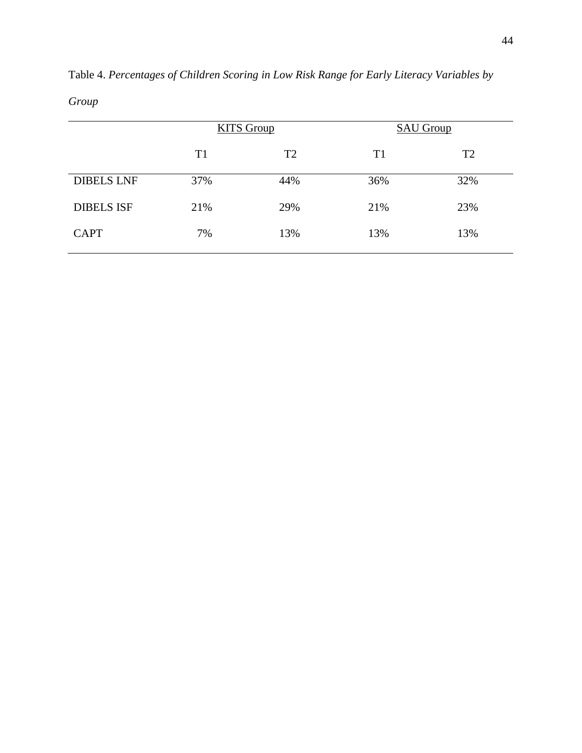Table 4. *Percentages of Children Scoring in Low Risk Range for Early Literacy Variables by* 

|                   |     | <b>KITS</b> Group | <b>SAU Group</b> |                |  |  |  |
|-------------------|-----|-------------------|------------------|----------------|--|--|--|
|                   | T1  | T <sub>2</sub>    | T1               | T <sub>2</sub> |  |  |  |
| <b>DIBELS LNF</b> | 37% | 44%               | 36%              | 32%            |  |  |  |
| <b>DIBELS ISF</b> | 21% | 29%               | 21%              | 23%            |  |  |  |

CAPT 7% 13% 13% 13% 13%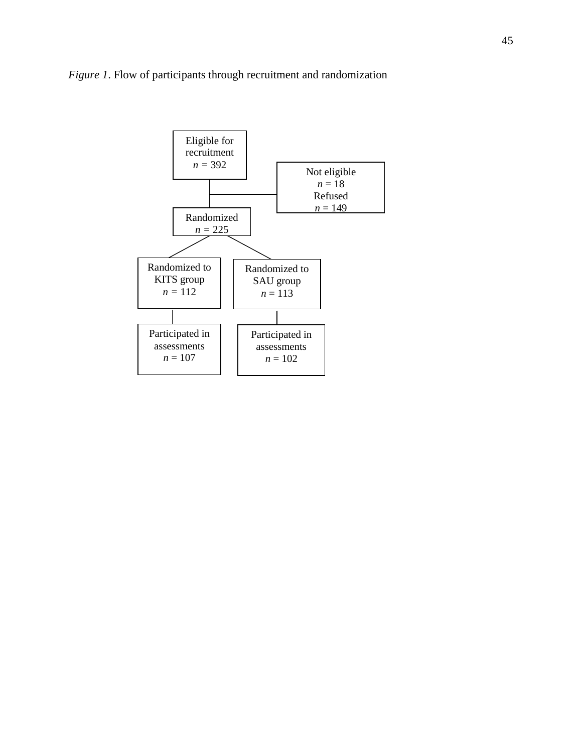